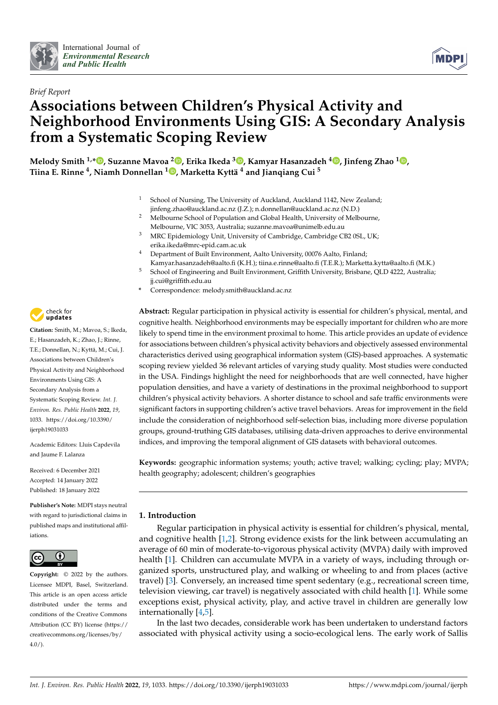



# *Brief Report* **Associations between Children's Physical Activity and Neighborhood Environments Using GIS: A Secondary Analysis from a Systematic Scoping Review**

**Melody Smith 1,\* [,](https://orcid.org/0000-0002-0987-2564) Suzanne Mavoa <sup>2</sup> [,](https://orcid.org/0000-0002-6071-2988) Erika Ikeda <sup>3</sup> [,](https://orcid.org/0000-0001-6999-3918) Kamyar Hasanzadeh [4](https://orcid.org/0000-0002-0705-7662) , Jinfeng Zhao <sup>1</sup> [,](https://orcid.org/0000-0002-8458-8379) Tiina E. Rinne <sup>4</sup> , Niamh Donnellan <sup>1</sup> [,](https://orcid.org/0000-0002-9411-7642) Marketta Kyttä <sup>4</sup> and Jianqiang Cui <sup>5</sup>**

- <sup>1</sup> School of Nursing, The University of Auckland, Auckland 1142, New Zealand; jinfeng.zhao@auckland.ac.nz (J.Z.); n.donnellan@auckland.ac.nz (N.D.)
- <sup>2</sup> Melbourne School of Population and Global Health, University of Melbourne, Melbourne, VIC 3053, Australia; suzanne.mavoa@unimelb.edu.au
- <sup>3</sup> MRC Epidemiology Unit, University of Cambridge, Cambridge CB2 0SL, UK; erika.ikeda@mrc-epid.cam.ac.uk
- <sup>4</sup> Department of Built Environment, Aalto University, 00076 Aalto, Finland:
- Kamyar.hasanzadeh@aalto.fi (K.H.); tiina.e.rinne@aalto.fi (T.E.R.); Marketta.kytta@aalto.fi (M.K.) <sup>5</sup> School of Engineering and Built Environment, Griffith University, Brisbane, QLD 4222, Australia; jj.cui@griffith.edu.au
- **\*** Correspondence: melody.smith@auckland.ac.nz

**Abstract:** Regular participation in physical activity is essential for children's physical, mental, and cognitive health. Neighborhood environments may be especially important for children who are more likely to spend time in the environment proximal to home. This article provides an update of evidence for associations between children's physical activity behaviors and objectively assessed environmental characteristics derived using geographical information system (GIS)-based approaches. A systematic scoping review yielded 36 relevant articles of varying study quality. Most studies were conducted in the USA. Findings highlight the need for neighborhoods that are well connected, have higher population densities, and have a variety of destinations in the proximal neighborhood to support children's physical activity behaviors. A shorter distance to school and safe traffic environments were significant factors in supporting children's active travel behaviors. Areas for improvement in the field include the consideration of neighborhood self-selection bias, including more diverse population groups, ground-truthing GIS databases, utilising data-driven approaches to derive environmental indices, and improving the temporal alignment of GIS datasets with behavioral outcomes.

**Keywords:** geographic information systems; youth; active travel; walking; cycling; play; MVPA; health geography; adolescent; children's geographies

## **1. Introduction**

Regular participation in physical activity is essential for children's physical, mental, and cognitive health [\[1](#page-18-0)[,2\]](#page-18-1). Strong evidence exists for the link between accumulating an average of 60 min of moderate-to-vigorous physical activity (MVPA) daily with improved health [\[1\]](#page-18-0). Children can accumulate MVPA in a variety of ways, including through organized sports, unstructured play, and walking or wheeling to and from places (active travel) [\[3\]](#page-18-2). Conversely, an increased time spent sedentary (e.g., recreational screen time, television viewing, car travel) is negatively associated with child health [\[1\]](#page-18-0). While some exceptions exist, physical activity, play, and active travel in children are generally low internationally [\[4](#page-18-3)[,5\]](#page-18-4).

In the last two decades, considerable work has been undertaken to understand factors associated with physical activity using a socio-ecological lens. The early work of Sallis



**Citation:** Smith, M.; Mavoa, S.; Ikeda, E.; Hasanzadeh, K.; Zhao, J.; Rinne, T.E.; Donnellan, N.; Kyttä, M.; Cui, J. Associations between Children's Physical Activity and Neighborhood Environments Using GIS: A Secondary Analysis from a Systematic Scoping Review. *Int. J. Environ. Res. Public Health* **2022**, *19*, 1033. [https://doi.org/10.3390/](https://doi.org/10.3390/ijerph19031033) [ijerph19031033](https://doi.org/10.3390/ijerph19031033)

Academic Editors: Lluis Capdevila and Jaume F. Lalanza

Received: 6 December 2021 Accepted: 14 January 2022 Published: 18 January 2022

**Publisher's Note:** MDPI stays neutral with regard to jurisdictional claims in published maps and institutional affiliations.



**Copyright:** © 2022 by the authors. Licensee MDPI, Basel, Switzerland. This article is an open access article distributed under the terms and conditions of the Creative Commons Attribution (CC BY) license [\(https://](https://creativecommons.org/licenses/by/4.0/) [creativecommons.org/licenses/by/](https://creativecommons.org/licenses/by/4.0/)  $4.0/$ ).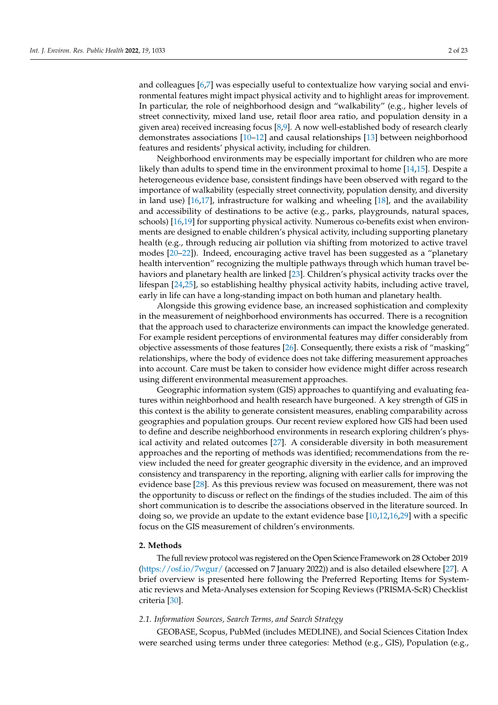and colleagues [\[6,](#page-19-0)[7\]](#page-19-1) was especially useful to contextualize how varying social and environmental features might impact physical activity and to highlight areas for improvement. In particular, the role of neighborhood design and "walkability" (e.g., higher levels of street connectivity, mixed land use, retail floor area ratio, and population density in a given area) received increasing focus [\[8,](#page-19-2)[9\]](#page-19-3). A now well-established body of research clearly demonstrates associations [\[10–](#page-19-4)[12\]](#page-19-5) and causal relationships [\[13\]](#page-19-6) between neighborhood features and residents' physical activity, including for children.

Neighborhood environments may be especially important for children who are more likely than adults to spend time in the environment proximal to home [\[14](#page-19-7)[,15\]](#page-19-8). Despite a heterogeneous evidence base, consistent findings have been observed with regard to the importance of walkability (especially street connectivity, population density, and diversity in land use) [\[16,](#page-19-9)[17\]](#page-19-10), infrastructure for walking and wheeling [\[18\]](#page-19-11), and the availability and accessibility of destinations to be active (e.g., parks, playgrounds, natural spaces, schools) [\[16](#page-19-9)[,19\]](#page-19-12) for supporting physical activity. Numerous co-benefits exist when environments are designed to enable children's physical activity, including supporting planetary health (e.g., through reducing air pollution via shifting from motorized to active travel modes [\[20–](#page-19-13)[22\]](#page-19-14)). Indeed, encouraging active travel has been suggested as a "planetary health intervention" recognizing the multiple pathways through which human travel behaviors and planetary health are linked [\[23\]](#page-19-15). Children's physical activity tracks over the lifespan [\[24](#page-19-16)[,25\]](#page-19-17), so establishing healthy physical activity habits, including active travel, early in life can have a long-standing impact on both human and planetary health.

Alongside this growing evidence base, an increased sophistication and complexity in the measurement of neighborhood environments has occurred. There is a recognition that the approach used to characterize environments can impact the knowledge generated. For example resident perceptions of environmental features may differ considerably from objective assessments of those features [\[26\]](#page-19-18). Consequently, there exists a risk of "masking" relationships, where the body of evidence does not take differing measurement approaches into account. Care must be taken to consider how evidence might differ across research using different environmental measurement approaches.

Geographic information system (GIS) approaches to quantifying and evaluating features within neighborhood and health research have burgeoned. A key strength of GIS in this context is the ability to generate consistent measures, enabling comparability across geographies and population groups. Our recent review explored how GIS had been used to define and describe neighborhood environments in research exploring children's physical activity and related outcomes [\[27\]](#page-19-19). A considerable diversity in both measurement approaches and the reporting of methods was identified; recommendations from the review included the need for greater geographic diversity in the evidence, and an improved consistency and transparency in the reporting, aligning with earlier calls for improving the evidence base [\[28\]](#page-19-20). As this previous review was focused on measurement, there was not the opportunity to discuss or reflect on the findings of the studies included. The aim of this short communication is to describe the associations observed in the literature sourced. In doing so, we provide an update to the extant evidence base [\[10](#page-19-4)[,12](#page-19-5)[,16](#page-19-9)[,29\]](#page-19-21) with a specific focus on the GIS measurement of children's environments.

## **2. Methods**

The full review protocol was registered on the Open Science Framework on 28 October 2019 [\(https://osf.io/7wgur/](https://osf.io/7wgur/) (accessed on 7 January 2022)) and is also detailed elsewhere [\[27\]](#page-19-19). A brief overview is presented here following the Preferred Reporting Items for Systematic reviews and Meta-Analyses extension for Scoping Reviews (PRISMA-ScR) Checklist criteria [\[30\]](#page-19-22).

### *2.1. Information Sources, Search Terms, and Search Strategy*

GEOBASE, Scopus, PubMed (includes MEDLINE), and Social Sciences Citation Index were searched using terms under three categories: Method (e.g., GIS), Population (e.g.,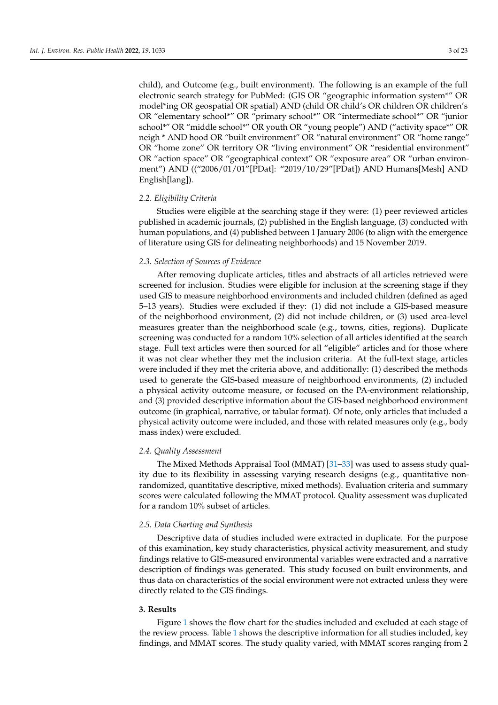child), and Outcome (e.g., built environment). The following is an example of the full electronic search strategy for PubMed: (GIS OR "geographic information system\*" OR model\*ing OR geospatial OR spatial) AND (child OR child's OR children OR children's OR "elementary school\*" OR "primary school\*" OR "intermediate school\*" OR "junior school\*" OR "middle school\*" OR youth OR "young people") AND ("activity space\*" OR neigh \* AND hood OR "built environment" OR "natural environment" OR "home range" OR "home zone" OR territory OR "living environment" OR "residential environment" OR "action space" OR "geographical context" OR "exposure area" OR "urban environment") AND (("2006/01/01"[PDat]: "2019/10/29"[PDat]) AND Humans[Mesh] AND English[lang]).

## *2.2. Eligibility Criteria*

Studies were eligible at the searching stage if they were: (1) peer reviewed articles published in academic journals, (2) published in the English language, (3) conducted with human populations, and (4) published between 1 January 2006 (to align with the emergence of literature using GIS for delineating neighborhoods) and 15 November 2019.

#### *2.3. Selection of Sources of Evidence*

After removing duplicate articles, titles and abstracts of all articles retrieved were screened for inclusion. Studies were eligible for inclusion at the screening stage if they used GIS to measure neighborhood environments and included children (defined as aged 5–13 years). Studies were excluded if they: (1) did not include a GIS-based measure of the neighborhood environment, (2) did not include children, or (3) used area-level measures greater than the neighborhood scale (e.g., towns, cities, regions). Duplicate screening was conducted for a random 10% selection of all articles identified at the search stage. Full text articles were then sourced for all "eligible" articles and for those where it was not clear whether they met the inclusion criteria. At the full-text stage, articles were included if they met the criteria above, and additionally: (1) described the methods used to generate the GIS-based measure of neighborhood environments, (2) included a physical activity outcome measure, or focused on the PA-environment relationship, and (3) provided descriptive information about the GIS-based neighborhood environment outcome (in graphical, narrative, or tabular format). Of note, only articles that included a physical activity outcome were included, and those with related measures only (e.g., body mass index) were excluded.

#### *2.4. Quality Assessment*

The Mixed Methods Appraisal Tool (MMAT) [\[31–](#page-19-23)[33\]](#page-20-0) was used to assess study quality due to its flexibility in assessing varying research designs (e.g., quantitative nonrandomized, quantitative descriptive, mixed methods). Evaluation criteria and summary scores were calculated following the MMAT protocol. Quality assessment was duplicated for a random 10% subset of articles.

### *2.5. Data Charting and Synthesis*

Descriptive data of studies included were extracted in duplicate. For the purpose of this examination, key study characteristics, physical activity measurement, and study findings relative to GIS-measured environmental variables were extracted and a narrative description of findings was generated. This study focused on built environments, and thus data on characteristics of the social environment were not extracted unless they were directly related to the GIS findings.

## **3. Results**

Figure [1](#page-3-0) shows the flow chart for the studies included and excluded at each stage of the review process. Table [1](#page-15-0) shows the descriptive information for all studies included, key findings, and MMAT scores. The study quality varied, with MMAT scores ranging from 2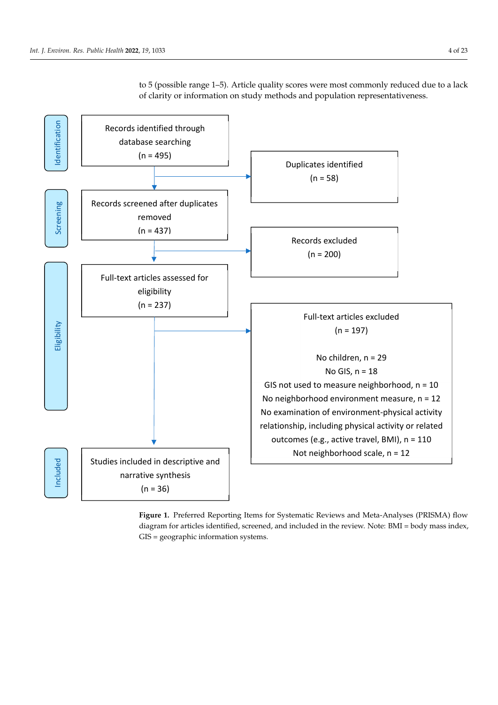

<span id="page-3-0"></span>to 5 (possible range 1–5). Article quality scores were most commonly reduced due to a lack of clarity or information on study methods and population representativeness.

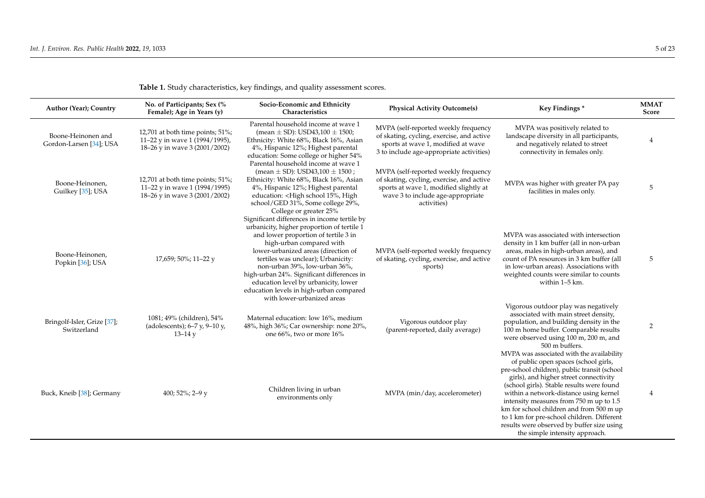| Author (Year); Country                        | No. of Participants; Sex (%<br>Female); Age in Years (y)                                            | Socio-Economic and Ethnicity<br>Characteristics                                                                                                                                                                                                                                                                                                                                             | <b>Physical Activity Outcome(s)</b>                                                                                                                                             | Key Findings*                                                                                                                                                                                                                                                                                                                                                                                                                                                                           | <b>MMAT</b><br>Score |
|-----------------------------------------------|-----------------------------------------------------------------------------------------------------|---------------------------------------------------------------------------------------------------------------------------------------------------------------------------------------------------------------------------------------------------------------------------------------------------------------------------------------------------------------------------------------------|---------------------------------------------------------------------------------------------------------------------------------------------------------------------------------|-----------------------------------------------------------------------------------------------------------------------------------------------------------------------------------------------------------------------------------------------------------------------------------------------------------------------------------------------------------------------------------------------------------------------------------------------------------------------------------------|----------------------|
| Boone-Heinonen and<br>Gordon-Larsen [34]; USA | 12,701 at both time points; 51%;<br>11-22 y in wave 1 (1994/1995),<br>18-26 y in wave 3 (2001/2002) | Parental household income at wave 1<br>(mean $\pm$ SD): USD43,100 $\pm$ 1500;<br>Ethnicity: White 68%, Black 16%, Asian<br>4%, Hispanic 12%; Highest parental<br>education: Some college or higher 54%<br>Parental household income at wave 1                                                                                                                                               | MVPA (self-reported weekly frequency<br>of skating, cycling, exercise, and active<br>sports at wave 1, modified at wave<br>3 to include age-appropriate activities)             | MVPA was positively related to<br>landscape diversity in all participants,<br>and negatively related to street<br>connectivity in females only.                                                                                                                                                                                                                                                                                                                                         | 4                    |
| Boone-Heinonen,<br>Guilkey [35]; USA          | 12,701 at both time points; 51%;<br>11-22 y in wave 1 (1994/1995)<br>18-26 y in wave 3 (2001/2002)  | (mean $\pm$ SD): USD43,100 $\pm$ 1500;<br>Ethnicity: White 68%, Black 16%, Asian<br>4%, Hispanic 12%; Highest parental<br>education: <high 15%,="" high<br="" school="">school/GED 31%, Some college 29%,<br/>College or greater 25%<br/>Significant differences in income tertile by</high>                                                                                                | MVPA (self-reported weekly frequency<br>of skating, cycling, exercise, and active<br>sports at wave 1, modified slightly at<br>wave 3 to include age-appropriate<br>activities) | MVPA was higher with greater PA pay<br>facilities in males only.                                                                                                                                                                                                                                                                                                                                                                                                                        | 5                    |
| Boone-Heinonen,<br>Popkin [36]; USA           | 17,659; 50%; 11-22 y                                                                                | urbanicity, higher proportion of tertile 1<br>and lower proportion of tertile 3 in<br>high-urban compared with<br>lower-urbanized areas (direction of<br>tertiles was unclear); Urbanicity:<br>non-urban 39%, low-urban 36%,<br>high-urban 24%. Significant differences in<br>education level by urbanicity, lower<br>education levels in high-urban compared<br>with lower-urbanized areas | MVPA (self-reported weekly frequency<br>of skating, cycling, exercise, and active<br>sports)                                                                                    | MVPA was associated with intersection<br>density in 1 km buffer (all in non-urban<br>areas, males in high-urban areas), and<br>count of PA resources in 3 km buffer (all<br>in low-urban areas). Associations with<br>weighted counts were similar to counts<br>within 1-5 km.                                                                                                                                                                                                          | 5                    |
| Bringolf-Isler, Grize [37];<br>Switzerland    | 1081; 49% (children), 54%<br>(adolescents); $6-7$ y, $9-10$ y,<br>$13 - 14y$                        | Maternal education: low 16%, medium<br>48%, high 36%; Car ownership: none 20%,<br>one 66%, two or more 16%                                                                                                                                                                                                                                                                                  | Vigorous outdoor play<br>(parent-reported, daily average)                                                                                                                       | Vigorous outdoor play was negatively<br>associated with main street density,<br>population, and building density in the<br>100 m home buffer. Comparable results<br>were observed using 100 m, 200 m, and<br>500 m buffers.                                                                                                                                                                                                                                                             | $\overline{2}$       |
| Buck, Kneib [38]; Germany                     | 400; 52%; 2-9 y                                                                                     | Children living in urban<br>environments only                                                                                                                                                                                                                                                                                                                                               | MVPA (min/day, accelerometer)                                                                                                                                                   | MVPA was associated with the availability<br>of public open spaces (school girls,<br>pre-school children), public transit (school<br>girls), and higher street connectivity<br>(school girls). Stable results were found<br>within a network-distance using kernel<br>intensity measures from 750 m up to 1.5<br>km for school children and from 500 m up<br>to 1 km for pre-school children. Different<br>results were observed by buffer size using<br>the simple intensity approach. | 4                    |

**Table 1.** Study characteristics, key findings, and quality assessment scores.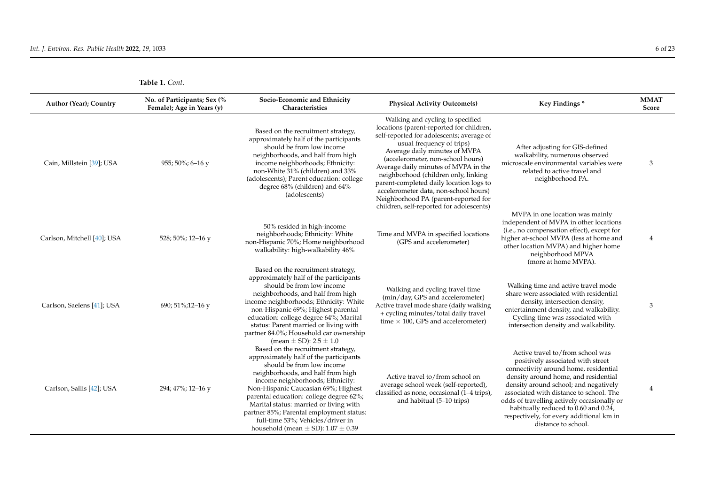| Author (Year); Country      | No. of Participants; Sex (%<br>Female); Age in Years (y) | Socio-Economic and Ethnicity<br>Characteristics                                                                                                                                                                                                                                                                                                                                                                                               | <b>Physical Activity Outcome(s)</b>                                                                                                                                                                                                                                                                                                                                                                                                                                                  | Key Findings*                                                                                                                                                                                                                                                                                                                                                                                        | <b>MMAT</b><br>Score |
|-----------------------------|----------------------------------------------------------|-----------------------------------------------------------------------------------------------------------------------------------------------------------------------------------------------------------------------------------------------------------------------------------------------------------------------------------------------------------------------------------------------------------------------------------------------|--------------------------------------------------------------------------------------------------------------------------------------------------------------------------------------------------------------------------------------------------------------------------------------------------------------------------------------------------------------------------------------------------------------------------------------------------------------------------------------|------------------------------------------------------------------------------------------------------------------------------------------------------------------------------------------------------------------------------------------------------------------------------------------------------------------------------------------------------------------------------------------------------|----------------------|
| Cain, Millstein [39]; USA   | 955; 50%; 6-16 y                                         | Based on the recruitment strategy,<br>approximately half of the participants<br>should be from low income<br>neighborhoods, and half from high<br>income neighborhoods; Ethnicity:<br>non-White 31% (children) and 33%<br>(adolescents); Parent education: college<br>degree 68% (children) and 64%<br>(adolescents)                                                                                                                          | Walking and cycling to specified<br>locations (parent-reported for children,<br>self-reported for adolescents; average of<br>usual frequency of trips)<br>Average daily minutes of MVPA<br>(accelerometer, non-school hours)<br>Average daily minutes of MVPA in the<br>neighborhood (children only, linking<br>parent-completed daily location logs to<br>accelerometer data, non-school hours)<br>Neighborhood PA (parent-reported for<br>children, self-reported for adolescents) | After adjusting for GIS-defined<br>walkability, numerous observed<br>microscale environmental variables were<br>related to active travel and<br>neighborhood PA.                                                                                                                                                                                                                                     | 3                    |
| Carlson, Mitchell [40]; USA | 528; 50%; 12-16 y                                        | 50% resided in high-income<br>neighborhoods; Ethnicity: White<br>non-Hispanic 70%; Home neighborhood<br>walkability: high-walkability 46%                                                                                                                                                                                                                                                                                                     | Time and MVPA in specified locations<br>(GPS and accelerometer)                                                                                                                                                                                                                                                                                                                                                                                                                      | MVPA in one location was mainly<br>independent of MVPA in other locations<br>(i.e., no compensation effect), except for<br>higher at-school MVPA (less at home and<br>other location MVPA) and higher home<br>neighborhood MPVA<br>(more at home MVPA).                                                                                                                                              |                      |
| Carlson, Saelens [41]; USA  | 690; 51%; 12-16 y                                        | Based on the recruitment strategy,<br>approximately half of the participants<br>should be from low income<br>neighborhoods, and half from high<br>income neighborhoods; Ethnicity: White<br>non-Hispanic 69%; Highest parental<br>education: college degree 64%; Marital<br>status: Parent married or living with<br>partner 84.0%; Household car ownership<br>(mean $\pm$ SD): 2.5 $\pm$ 1.0                                                 | Walking and cycling travel time<br>(min/day, GPS and accelerometer)<br>Active travel mode share (daily walking<br>+ cycling minutes/total daily travel<br>time $\times$ 100, GPS and accelerometer)                                                                                                                                                                                                                                                                                  | Walking time and active travel mode<br>share were associated with residential<br>density, intersection density,<br>entertainment density, and walkability.<br>Cycling time was associated with<br>intersection density and walkability.                                                                                                                                                              | 3                    |
| Carlson, Sallis [42]; USA   | 294; 47%; 12-16 y                                        | Based on the recruitment strategy,<br>approximately half of the participants<br>should be from low income<br>neighborhoods, and half from high<br>income neighborhoods; Ethnicity:<br>Non-Hispanic Caucasian 69%; Highest<br>parental education: college degree 62%;<br>Marital status: married or living with<br>partner 85%; Parental employment status:<br>full-time 53%; Vehicles/driver in<br>household (mean $\pm$ SD): 1.07 $\pm$ 0.39 | Active travel to/from school on<br>average school week (self-reported),<br>classified as none, occasional (1-4 trips),<br>and habitual (5-10 trips)                                                                                                                                                                                                                                                                                                                                  | Active travel to/from school was<br>positively associated with street<br>connectivity around home, residential<br>density around home, and residential<br>density around school; and negatively<br>associated with distance to school. The<br>odds of travelling actively occasionally or<br>habitually reduced to 0.60 and 0.24,<br>respectively, for every additional km in<br>distance to school. |                      |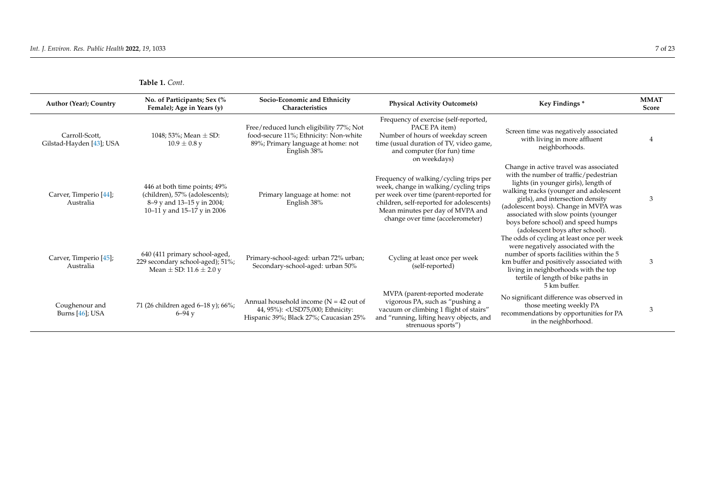| Author (Year); Country                     | No. of Participants; Sex (%<br>Female); Age in Years (y)                                                                    | Socio-Economic and Ethnicity<br>Characteristics                                                                                       | <b>Physical Activity Outcome(s)</b>                                                                                                                                                                                                            | Key Findings*                                                                                                                                                                                                                                                                                                                                                    | <b>MMAT</b><br><b>Score</b> |
|--------------------------------------------|-----------------------------------------------------------------------------------------------------------------------------|---------------------------------------------------------------------------------------------------------------------------------------|------------------------------------------------------------------------------------------------------------------------------------------------------------------------------------------------------------------------------------------------|------------------------------------------------------------------------------------------------------------------------------------------------------------------------------------------------------------------------------------------------------------------------------------------------------------------------------------------------------------------|-----------------------------|
| Carroll-Scott,<br>Gilstad-Hayden [43]; USA | 1048; 53%; Mean $\pm$ SD:<br>$10.9 \pm 0.8$ y                                                                               | Free/reduced lunch eligibility 77%; Not<br>food-secure 11%; Ethnicity: Non-white<br>89%; Primary language at home: not<br>English 38% | Frequency of exercise (self-reported,<br>PACE PA item<br>Number of hours of weekday screen<br>time (usual duration of TV, video game,<br>and computer (for fun) time<br>on weekdays)                                                           | Screen time was negatively associated<br>with living in more affluent<br>neighborhoods.                                                                                                                                                                                                                                                                          |                             |
| Carver, Timperio [44];<br>Australia        | 446 at both time points; 49%<br>(children), 57% (adolescents);<br>8–9 y and 13–15 y in 2004;<br>10–11 y and 15–17 y in 2006 | Primary language at home: not<br>English 38%                                                                                          | Frequency of walking/cycling trips per<br>week, change in walking/cycling trips<br>per week over time (parent-reported for<br>children, self-reported for adolescents)<br>Mean minutes per day of MVPA and<br>change over time (accelerometer) | Change in active travel was associated<br>with the number of traffic/pedestrian<br>lights (in younger girls), length of<br>walking tracks (younger and adolescent<br>girls), and intersection density<br>(adolescent boys). Change in MVPA was<br>associated with slow points (younger<br>boys before school) and speed humps<br>(adolescent boys after school). | 3                           |
| Carver, Timperio [45];<br>Australia        | 640 (411 primary school-aged,<br>229 secondary school-aged); 51%;<br>Mean $\pm$ SD: 11.6 $\pm$ 2.0 y                        | Primary-school-aged: urban 72% urban;<br>Secondary-school-aged: urban 50%                                                             | Cycling at least once per week<br>(self-reported)                                                                                                                                                                                              | The odds of cycling at least once per week<br>were negatively associated with the<br>number of sports facilities within the 5<br>km buffer and positively associated with<br>living in neighborhoods with the top<br>tertile of length of bike paths in<br>5 km buffer.                                                                                          | 3                           |
| Coughenour and<br>Burns [46]; USA          | 71 (26 children aged 6-18 y); 66%;<br>$6 - 94$ v                                                                            | Annual household income ( $N = 42$ out of<br>44, 95%): < USD75,000; Ethnicity:<br>Hispanic 39%; Black 27%; Caucasian 25%              | MVPA (parent-reported moderate<br>vigorous PA, such as "pushing a<br>vacuum or climbing 1 flight of stairs"<br>and "running, lifting heavy objects, and<br>strenuous sports")                                                                  | No significant difference was observed in<br>those meeting weekly PA<br>recommendations by opportunities for PA<br>in the neighborhood.                                                                                                                                                                                                                          | 3                           |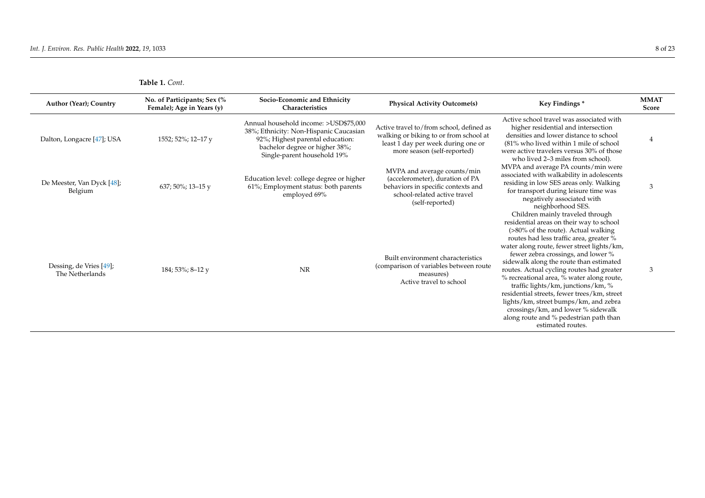| Author (Year); Country                     | No. of Participants; Sex (%<br>Female); Age in Years (y) | Socio-Economic and Ethnicity<br>Characteristics                                                                                                                                      | <b>Physical Activity Outcome(s)</b>                                                                                                                     | Key Findings*                                                                                                                                                                                                                                                                                                                                                                                                                                                                                                                                                                                                              | <b>MMAT</b><br>Score |
|--------------------------------------------|----------------------------------------------------------|--------------------------------------------------------------------------------------------------------------------------------------------------------------------------------------|---------------------------------------------------------------------------------------------------------------------------------------------------------|----------------------------------------------------------------------------------------------------------------------------------------------------------------------------------------------------------------------------------------------------------------------------------------------------------------------------------------------------------------------------------------------------------------------------------------------------------------------------------------------------------------------------------------------------------------------------------------------------------------------------|----------------------|
| Dalton, Longacre [47]; USA                 | 1552; 52%; 12-17 y                                       | Annual household income: >USD\$75.000<br>38%; Ethnicity: Non-Hispanic Caucasian<br>92%; Highest parental education:<br>bachelor degree or higher 38%;<br>Single-parent household 19% | Active travel to/from school, defined as<br>walking or biking to or from school at<br>least 1 day per week during one or<br>more season (self-reported) | Active school travel was associated with<br>higher residential and intersection<br>densities and lower distance to school<br>(81% who lived within 1 mile of school<br>were active travelers versus 30% of those<br>who lived 2-3 miles from school).                                                                                                                                                                                                                                                                                                                                                                      | 4                    |
| De Meester, Van Dyck [48];<br>Belgium      | 637; 50%; 13-15 y                                        | Education level: college degree or higher<br>61%; Employment status: both parents<br>employed 69%                                                                                    | MVPA and average counts/min<br>(accelerometer), duration of PA<br>behaviors in specific contexts and<br>school-related active travel<br>(self-reported) | MVPA and average PA counts/min were<br>associated with walkability in adolescents<br>residing in low SES areas only. Walking<br>for transport during leisure time was<br>negatively associated with<br>neighborhood SES.                                                                                                                                                                                                                                                                                                                                                                                                   | 3                    |
| Dessing, de Vries [49];<br>The Netherlands | 184; 53%; 8–12 y                                         | <b>NR</b>                                                                                                                                                                            | Built environment characteristics<br>(comparison of variables between route<br>measures)<br>Active travel to school                                     | Children mainly traveled through<br>residential areas on their way to school<br>(>80% of the route). Actual walking<br>routes had less traffic area, greater %<br>water along route, fewer street lights/km,<br>fewer zebra crossings, and lower %<br>sidewalk along the route than estimated<br>routes. Actual cycling routes had greater<br>% recreational area, % water along route,<br>traffic lights/km, junctions/km, %<br>residential streets, fewer trees/km, street<br>lights/km, street bumps/km, and zebra<br>crossings/km, and lower % sidewalk<br>along route and % pedestrian path than<br>estimated routes. | 3                    |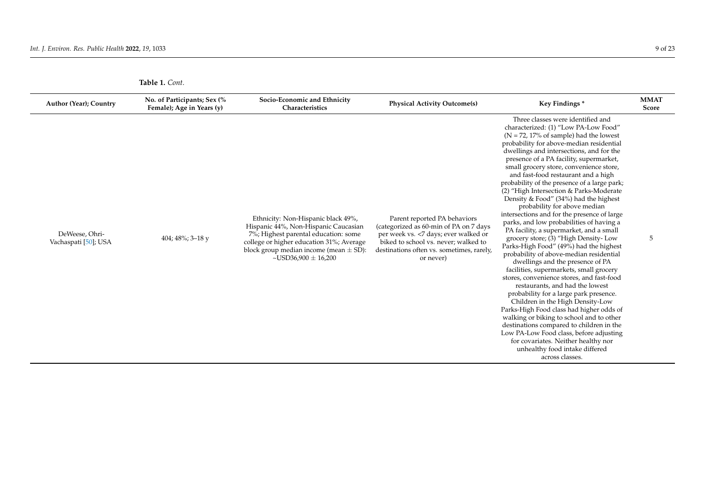| Author (Year); Country                 | No. of Participants; Sex (%<br>Female); Age in Years (y) | Socio-Economic and Ethnicity<br>Characteristics                                                                                                                                                                                               | <b>Physical Activity Outcome(s)</b>                                                                                                                                                                               | Key Findings*                                                                                                                                                                                                                                                                                                                                                                                                                                                                                                                                                                                                                                                                                                                                                                                                                                                                                                                                                                                                                                                                                                                                                                                                                                                                                               | <b>MMAT</b><br>Score |
|----------------------------------------|----------------------------------------------------------|-----------------------------------------------------------------------------------------------------------------------------------------------------------------------------------------------------------------------------------------------|-------------------------------------------------------------------------------------------------------------------------------------------------------------------------------------------------------------------|-------------------------------------------------------------------------------------------------------------------------------------------------------------------------------------------------------------------------------------------------------------------------------------------------------------------------------------------------------------------------------------------------------------------------------------------------------------------------------------------------------------------------------------------------------------------------------------------------------------------------------------------------------------------------------------------------------------------------------------------------------------------------------------------------------------------------------------------------------------------------------------------------------------------------------------------------------------------------------------------------------------------------------------------------------------------------------------------------------------------------------------------------------------------------------------------------------------------------------------------------------------------------------------------------------------|----------------------|
| DeWeese, Ohri-<br>Vachaspati [50]; USA | 404; 48%; 3-18 y                                         | Ethnicity: Non-Hispanic black 49%,<br>Hispanic 44%, Non-Hispanic Caucasian<br>7%; Highest parental education: some<br>college or higher education 31%; Average<br>block group median income (mean $\pm$ SD):<br>$\sim$ USD36,900 $\pm$ 16,200 | Parent reported PA behaviors<br>(categorized as 60-min of PA on 7 days<br>per week vs. < 7 days; ever walked or<br>biked to school vs. never; walked to<br>destinations often vs. sometimes, rarely,<br>or never) | Three classes were identified and<br>characterized: (1) "Low PA-Low Food"<br>$(N = 72, 17\%$ of sample) had the lowest<br>probability for above-median residential<br>dwellings and intersections, and for the<br>presence of a PA facility, supermarket,<br>small grocery store, convenience store,<br>and fast-food restaurant and a high<br>probability of the presence of a large park;<br>(2) "High Intersection & Parks-Moderate<br>Density & Food" (34%) had the highest<br>probability for above median<br>intersections and for the presence of large<br>parks, and low probabilities of having a<br>PA facility, a supermarket, and a small<br>grocery store; (3) "High Density- Low<br>Parks-High Food" (49%) had the highest<br>probability of above-median residential<br>dwellings and the presence of PA<br>facilities, supermarkets, small grocery<br>stores, convenience stores, and fast-food<br>restaurants, and had the lowest<br>probability for a large park presence.<br>Children in the High Density-Low<br>Parks-High Food class had higher odds of<br>walking or biking to school and to other<br>destinations compared to children in the<br>Low PA-Low Food class, before adjusting<br>for covariates. Neither healthy nor<br>unhealthy food intake differed<br>across classes. | 5                    |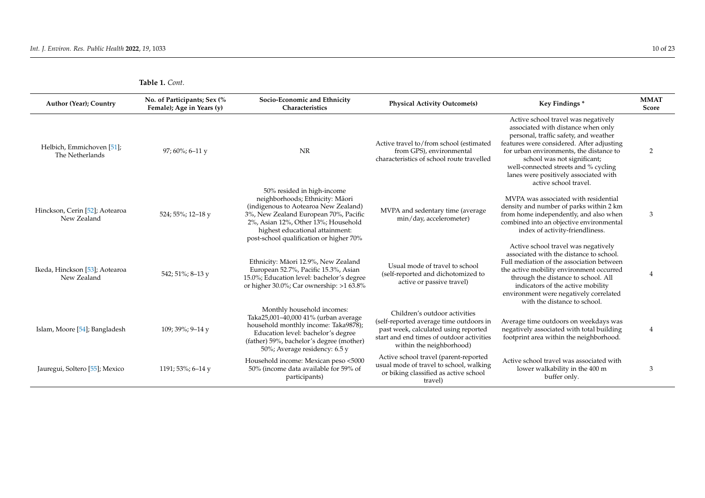| Author (Year); Country                        | No. of Participants; Sex (%<br>Female); Age in Years (y) | Socio-Economic and Ethnicity<br>Characteristics                                                                                                                                                                                                                     | <b>Physical Activity Outcome(s)</b>                                                                                                                                                       | Key Findings*                                                                                                                                                                                                                                                                                                                                       | <b>MMAT</b><br>Score |
|-----------------------------------------------|----------------------------------------------------------|---------------------------------------------------------------------------------------------------------------------------------------------------------------------------------------------------------------------------------------------------------------------|-------------------------------------------------------------------------------------------------------------------------------------------------------------------------------------------|-----------------------------------------------------------------------------------------------------------------------------------------------------------------------------------------------------------------------------------------------------------------------------------------------------------------------------------------------------|----------------------|
| Helbich, Emmichoven [51];<br>The Netherlands  | 97; $60\%$ ; 6-11 y                                      | <b>NR</b>                                                                                                                                                                                                                                                           | Active travel to/from school (estimated<br>from GPS), environmental<br>characteristics of school route travelled                                                                          | Active school travel was negatively<br>associated with distance when only<br>personal, traffic safety, and weather<br>features were considered. After adjusting<br>for urban environments, the distance to<br>school was not significant;<br>well-connected streets and % cycling<br>lanes were positively associated with<br>active school travel. | 2                    |
| Hinckson, Cerin [52]; Aotearoa<br>New Zealand | 524; 55%; 12-18 y                                        | 50% resided in high-income<br>neighborhoods; Ethnicity: Māori<br>(indigenous to Aotearoa New Zealand)<br>3%, New Zealand European 70%, Pacific<br>2%, Asian 12%, Other 13%; Household<br>highest educational attainment:<br>post-school qualification or higher 70% | MVPA and sedentary time (average<br>min/day, accelerometer)                                                                                                                               | MVPA was associated with residential<br>density and number of parks within 2 km<br>from home independently, and also when<br>combined into an objective environmental<br>index of activity-friendliness.                                                                                                                                            | 3                    |
| Ikeda, Hinckson [53]; Aotearoa<br>New Zealand | 542; 51%; 8-13 y                                         | Ethnicity: Māori 12.9%, New Zealand<br>European 52.7%, Pacific 15.3%, Asian<br>15.0%; Education level: bachelor's degree<br>or higher $30.0\%$ ; Car ownership: >163.8%                                                                                             | Usual mode of travel to school<br>(self-reported and dichotomized to<br>active or passive travel)                                                                                         | Active school travel was negatively<br>associated with the distance to school.<br>Full mediation of the association between<br>the active mobility environment occurred<br>through the distance to school. All<br>indicators of the active mobility<br>environment were negatively correlated<br>with the distance to school.                       | $\overline{4}$       |
| Islam, Moore [54]; Bangladesh                 | 109; 39%; 9-14 y                                         | Monthly household incomes:<br>Taka25,001-40,000 41% (urban average<br>household monthly income: Taka9878);<br>Education level: bachelor's degree<br>(father) 59%, bachelor's degree (mother)<br>50%; Average residency: 6.5 y                                       | Children's outdoor activities<br>(self-reported average time outdoors in<br>past week, calculated using reported<br>start and end times of outdoor activities<br>within the neighborhood) | Average time outdoors on weekdays was<br>negatively associated with total building<br>footprint area within the neighborhood.                                                                                                                                                                                                                       | 4                    |
| Jauregui, Soltero [55]; Mexico                | 1191; 53%; 6–14 y                                        | Household income: Mexican peso <5000<br>50% (income data available for 59% of<br>participants)                                                                                                                                                                      | Active school travel (parent-reported<br>usual mode of travel to school, walking<br>or biking classified as active school<br>travel)                                                      | Active school travel was associated with<br>lower walkability in the 400 m<br>buffer only.                                                                                                                                                                                                                                                          | 3                    |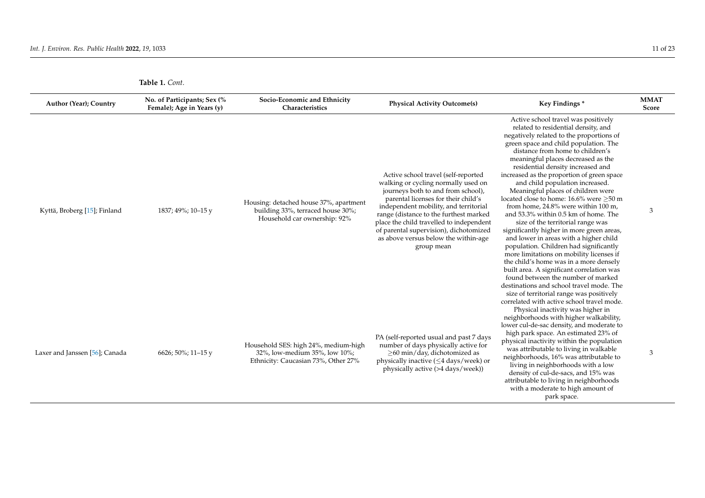| Ωt |  |
|----|--|
|    |  |

| <b>Table 1.</b> Cont. |  |
|-----------------------|--|
|                       |  |

| Author (Year); Country         | No. of Participants; Sex (%<br>Female); Age in Years (y) | Socio-Economic and Ethnicity<br>Characteristics                                                              | <b>Physical Activity Outcome(s)</b>                                                                                                                                                                                                                                                                                                                                                    | Key Findings*                                                                                                                                                                                                                                                                                                                                                                                                                                                                                                                                                                                                                                                                                                                                                                                                                                                                                                                                                                                                        | <b>MMAT</b><br>Score |
|--------------------------------|----------------------------------------------------------|--------------------------------------------------------------------------------------------------------------|----------------------------------------------------------------------------------------------------------------------------------------------------------------------------------------------------------------------------------------------------------------------------------------------------------------------------------------------------------------------------------------|----------------------------------------------------------------------------------------------------------------------------------------------------------------------------------------------------------------------------------------------------------------------------------------------------------------------------------------------------------------------------------------------------------------------------------------------------------------------------------------------------------------------------------------------------------------------------------------------------------------------------------------------------------------------------------------------------------------------------------------------------------------------------------------------------------------------------------------------------------------------------------------------------------------------------------------------------------------------------------------------------------------------|----------------------|
| Kyttä, Broberg [15]; Finland   | 1837; 49%; 10–15 y                                       | Housing: detached house 37%, apartment<br>building 33%, terraced house 30%;<br>Household car ownership: 92%  | Active school travel (self-reported<br>walking or cycling normally used on<br>journeys both to and from school),<br>parental licenses for their child's<br>independent mobility, and territorial<br>range (distance to the furthest marked<br>place the child travelled to independent<br>of parental supervision), dichotomized<br>as above versus below the within-age<br>group mean | Active school travel was positively<br>related to residential density, and<br>negatively related to the proportions of<br>green space and child population. The<br>distance from home to children's<br>meaningful places decreased as the<br>residential density increased and<br>increased as the proportion of green space<br>and child population increased.<br>Meaningful places of children were<br>located close to home: 16.6% were ≥50 m<br>from home, 24.8% were within 100 m,<br>and 53.3% within 0.5 km of home. The<br>size of the territorial range was<br>significantly higher in more green areas,<br>and lower in areas with a higher child<br>population. Children had significantly<br>more limitations on mobility licenses if<br>the child's home was in a more densely<br>built area. A significant correlation was<br>found between the number of marked<br>destinations and school travel mode. The<br>size of territorial range was positively<br>correlated with active school travel mode. | 3                    |
| Laxer and Janssen [56]; Canada | 6626; 50%; 11-15 y                                       | Household SES: high 24%, medium-high<br>32%, low-medium 35%, low 10%;<br>Ethnicity: Caucasian 73%, Other 27% | PA (self-reported usual and past 7 days<br>number of days physically active for<br>>60 min/day, dichotomized as<br>physically inactive $(\leq 4 \text{ days}/\text{week})$ or<br>physically active (>4 days/week))                                                                                                                                                                     | Physical inactivity was higher in<br>neighborhoods with higher walkability,<br>lower cul-de-sac density, and moderate to<br>high park space. An estimated 23% of<br>physical inactivity within the population<br>was attributable to living in walkable<br>neighborhoods, 16% was attributable to<br>living in neighborhoods with a low<br>density of cul-de-sacs, and 15% was<br>attributable to living in neighborhoods<br>with a moderate to high amount of<br>park space.                                                                                                                                                                                                                                                                                                                                                                                                                                                                                                                                        | 3                    |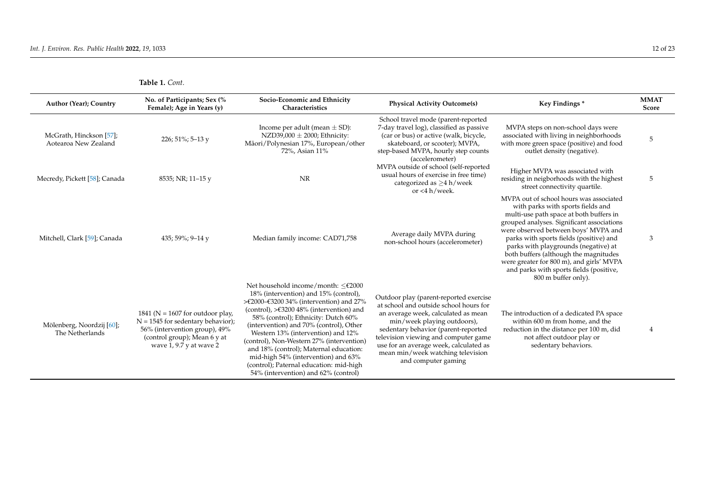| Author (Year); Country                          | No. of Participants; Sex (%<br>Female); Age in Years (y)                                                                                                                   | Socio-Economic and Ethnicity<br>Characteristics                                                                                                                                                                                                                                                                                                                                                                                                                                                                                          | <b>Physical Activity Outcome(s)</b>                                                                                                                                                                                                                                                                                                         | Key Findings*                                                                                                                                                                                                                                                                                                                                                                                                                                           | <b>MMAT</b><br>Score |
|-------------------------------------------------|----------------------------------------------------------------------------------------------------------------------------------------------------------------------------|------------------------------------------------------------------------------------------------------------------------------------------------------------------------------------------------------------------------------------------------------------------------------------------------------------------------------------------------------------------------------------------------------------------------------------------------------------------------------------------------------------------------------------------|---------------------------------------------------------------------------------------------------------------------------------------------------------------------------------------------------------------------------------------------------------------------------------------------------------------------------------------------|---------------------------------------------------------------------------------------------------------------------------------------------------------------------------------------------------------------------------------------------------------------------------------------------------------------------------------------------------------------------------------------------------------------------------------------------------------|----------------------|
| McGrath, Hinckson [57];<br>Aotearoa New Zealand | 226; 51%; 5-13 y                                                                                                                                                           | Income per adult (mean $\pm$ SD):<br>NZD39,000 $\pm$ 2000; Ethnicity:<br>Māori/Polynesian 17%, European/other<br>72%, Asian 11%                                                                                                                                                                                                                                                                                                                                                                                                          | School travel mode (parent-reported<br>7-day travel log), classified as passive<br>(car or bus) or active (walk, bicycle,<br>skateboard, or scooter); MVPA,<br>step-based MVPA, hourly step counts<br>(accelerometer)                                                                                                                       | MVPA steps on non-school days were<br>associated with living in neighborhoods<br>with more green space (positive) and food<br>outlet density (negative).                                                                                                                                                                                                                                                                                                | 5                    |
| Mecredy, Pickett [58]; Canada                   | 8535; NR; 11-15 y                                                                                                                                                          | <b>NR</b>                                                                                                                                                                                                                                                                                                                                                                                                                                                                                                                                | MVPA outside of school (self-reported<br>usual hours of exercise in free time)<br>categorized as $>4$ h/week<br>or $<$ 4 h/week.                                                                                                                                                                                                            | Higher MVPA was associated with<br>residing in neigborhoods with the highest<br>street connectivity quartile.                                                                                                                                                                                                                                                                                                                                           | 5                    |
| Mitchell, Clark [59]; Canada                    | 435; 59%; 9-14 y                                                                                                                                                           | Median family income: CAD71,758                                                                                                                                                                                                                                                                                                                                                                                                                                                                                                          | Average daily MVPA during<br>non-school hours (accelerometer)                                                                                                                                                                                                                                                                               | MVPA out of school hours was associated<br>with parks with sports fields and<br>multi-use path space at both buffers in<br>grouped analyses. Significant associations<br>were observed between boys' MVPA and<br>parks with sports fields (positive) and<br>parks with playgrounds (negative) at<br>both buffers (although the magnitudes<br>were greater for 800 m), and girls' MVPA<br>and parks with sports fields (positive,<br>800 m buffer only). | 3                    |
| Mölenberg, Noordzij [60];<br>The Netherlands    | 1841 ( $N = 1607$ for outdoor play,<br>$N = 1545$ for sedentary behavior);<br>56% (intervention group), 49%<br>(control group); Mean 6 y at<br>wave $1, 9.7$ y at wave $2$ | Net household income/month: $\leq \text{\pounds}2000$<br>18% (intervention) and 15% (control),<br>>€2000–€3200 34% (intervention) and 27%<br>(control), $>\epsilon$ 3200 48% (intervention) and<br>58% (control); Ethnicity: Dutch 60%<br>(intervention) and 70% (control), Other<br>Western 13% (intervention) and 12%<br>(control), Non-Western 27% (intervention)<br>and 18% (control); Maternal education:<br>mid-high 54% (intervention) and 63%<br>(control); Paternal education: mid-high<br>54% (intervention) and 62% (control) | Outdoor play (parent-reported exercise<br>at school and outside school hours for<br>an average week, calculated as mean<br>min/week playing outdoors),<br>sedentary behavior (parent-reported<br>television viewing and computer game<br>use for an average week, calculated as<br>mean min/week watching television<br>and computer gaming | The introduction of a dedicated PA space<br>within 600 m from home, and the<br>reduction in the distance per 100 m, did<br>not affect outdoor play or<br>sedentary behaviors.                                                                                                                                                                                                                                                                           | 4                    |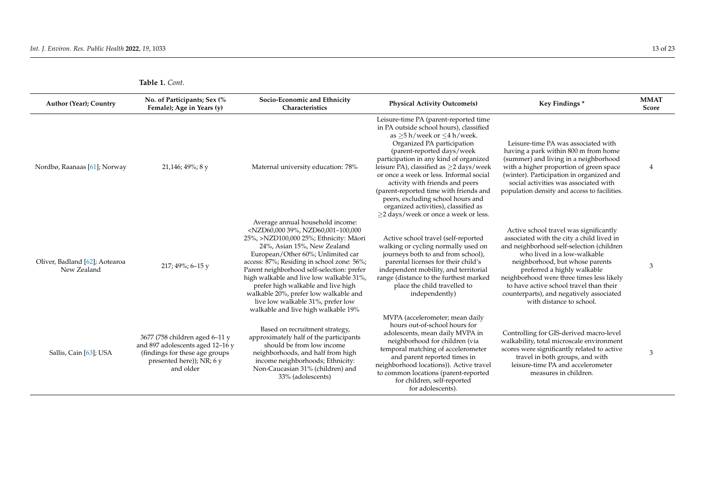| Author (Year); Country                        | No. of Participants; Sex (%<br>Female); Age in Years (y)                                                                                       | Socio-Economic and Ethnicity<br>Characteristics                                                                                                                                                                                                                                                                                                                                                                                                                                                                      | <b>Physical Activity Outcome(s)</b>                                                                                                                                                                                                                                                                                                                                                                                                                                                                                     | Key Findings*                                                                                                                                                                                                                                                                                                                                                                                     | <b>MMAT</b><br>Score |
|-----------------------------------------------|------------------------------------------------------------------------------------------------------------------------------------------------|----------------------------------------------------------------------------------------------------------------------------------------------------------------------------------------------------------------------------------------------------------------------------------------------------------------------------------------------------------------------------------------------------------------------------------------------------------------------------------------------------------------------|-------------------------------------------------------------------------------------------------------------------------------------------------------------------------------------------------------------------------------------------------------------------------------------------------------------------------------------------------------------------------------------------------------------------------------------------------------------------------------------------------------------------------|---------------------------------------------------------------------------------------------------------------------------------------------------------------------------------------------------------------------------------------------------------------------------------------------------------------------------------------------------------------------------------------------------|----------------------|
| Nordbø, Raanaas [61]; Norway                  | 21,146; 49%; 8 y                                                                                                                               | Maternal university education: 78%                                                                                                                                                                                                                                                                                                                                                                                                                                                                                   | Leisure-time PA (parent-reported time<br>in PA outside school hours), classified<br>as $>5$ h/week or $<$ 4 h/week.<br>Organized PA participation<br>(parent-reported days/week<br>participation in any kind of organized<br>leisure PA), classified as >2 days/week<br>or once a week or less. Informal social<br>activity with friends and peers<br>(parent-reported time with friends and<br>peers, excluding school hours and<br>organized activities), classified as<br>$\geq$ 2 days/week or once a week or less. | Leisure-time PA was associated with<br>having a park within 800 m from home<br>(summer) and living in a neighborhood<br>with a higher proportion of green space<br>(winter). Participation in organized and<br>social activities was associated with<br>population density and access to facilities.                                                                                              | $\overline{4}$       |
| Oliver, Badland [62]; Aotearoa<br>New Zealand | 217; 49%; 6-15 y                                                                                                                               | Average annual household income:<br><nzd60,000 39%,="" nzd60,001-100,000<br="">25%, &gt;NZD100,000 25%; Ethnicity: Māori<br/>24%, Asian 15%, New Zealand<br/>European/Other 60%; Unlimited car<br/>access: 87%; Residing in school zone: 56%;<br/>Parent neighborhood self-selection: prefer<br/>high walkable and live low walkable 31%,<br/>prefer high walkable and live high<br/>walkable 20%, prefer low walkable and<br/>live low walkable 31%, prefer low<br/>walkable and live high walkable 19%</nzd60,000> | Active school travel (self-reported<br>walking or cycling normally used on<br>journeys both to and from school),<br>parental licenses for their child's<br>independent mobility, and territorial<br>range (distance to the furthest marked<br>place the child travelled to<br>independently)                                                                                                                                                                                                                            | Active school travel was significantly<br>associated with the city a child lived in<br>and neighborhood self-selection (children<br>who lived in a low-walkable<br>neighborhood, but whose parents<br>preferred a highly walkable<br>neighborhood were three times less likely<br>to have active school travel than their<br>counterparts), and negatively associated<br>with distance to school. | 3                    |
| Sallis, Cain [63]; USA                        | 3677 (758 children aged 6-11 y<br>and 897 adolescents aged 12-16 y<br>(findings for these age groups<br>presented here)); NR; 6 y<br>and older | Based on recruitment strategy,<br>approximately half of the participants<br>should be from low income<br>neighborhoods, and half from high<br>income neighborhoods; Ethnicity:<br>Non-Caucasian 31% (children) and<br>33% (adolescents)                                                                                                                                                                                                                                                                              | MVPA (accelerometer; mean daily<br>hours out-of-school hours for<br>adolescents, mean daily MVPA in<br>neighborhood for children (via<br>temporal matching of accelerometer<br>and parent reported times in<br>neighborhood locations)). Active travel<br>to common locations (parent-reported<br>for children, self-reported<br>for adolescents).                                                                                                                                                                      | Controlling for GIS-derived macro-level<br>walkability, total microscale environment<br>scores were significantly related to active<br>travel in both groups, and with<br>leisure-time PA and accelerometer<br>measures in children.                                                                                                                                                              | 3                    |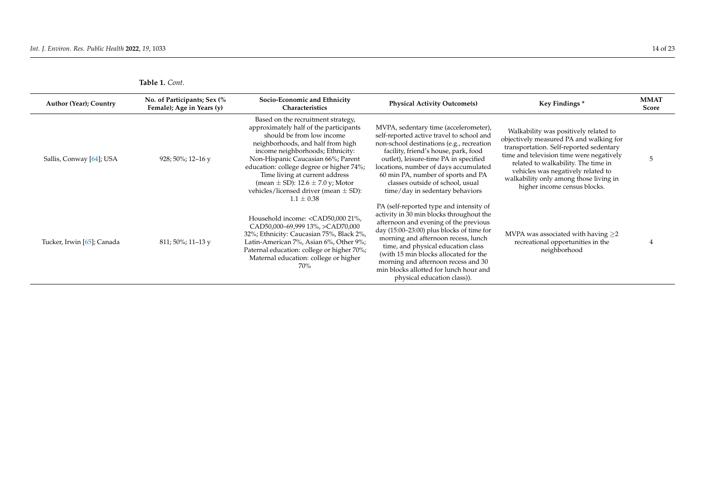| <b>Table 1.</b> Cont. |  |
|-----------------------|--|
|                       |  |

| Author (Year); Country     | No. of Participants; Sex (%<br>Female); Age in Years (y) | Socio-Economic and Ethnicity<br>Characteristics                                                                                                                                                                                                                                                                                                                                                                   | <b>Physical Activity Outcome(s)</b>                                                                                                                                                                                                                                                                                                                                                                               | Key Findings*                                                                                                                                                                                                                                                                                                                  | <b>MMAT</b><br>Score |
|----------------------------|----------------------------------------------------------|-------------------------------------------------------------------------------------------------------------------------------------------------------------------------------------------------------------------------------------------------------------------------------------------------------------------------------------------------------------------------------------------------------------------|-------------------------------------------------------------------------------------------------------------------------------------------------------------------------------------------------------------------------------------------------------------------------------------------------------------------------------------------------------------------------------------------------------------------|--------------------------------------------------------------------------------------------------------------------------------------------------------------------------------------------------------------------------------------------------------------------------------------------------------------------------------|----------------------|
| Sallis, Conway [64]; USA   | 928; 50%; 12-16 y                                        | Based on the recruitment strategy,<br>approximately half of the participants<br>should be from low income<br>neighborhoods, and half from high<br>income neighborhoods; Ethnicity:<br>Non-Hispanic Caucasian 66%; Parent<br>education: college degree or higher 74%;<br>Time living at current address<br>(mean $\pm$ SD): 12.6 $\pm$ 7.0 y; Motor<br>vehicles/licensed driver (mean $\pm$ SD):<br>$1.1 \pm 0.38$ | MVPA, sedentary time (accelerometer),<br>self-reported active travel to school and<br>non-school destinations (e.g., recreation<br>facility, friend's house, park, food<br>outlet), leisure-time PA in specified<br>locations, number of days accumulated<br>60 min PA, number of sports and PA<br>classes outside of school, usual<br>time/day in sedentary behaviors                                            | Walkability was positively related to<br>objectively measured PA and walking for<br>transportation. Self-reported sedentary<br>time and television time were negatively<br>related to walkability. The time in<br>vehicles was negatively related to<br>walkability only among those living in<br>higher income census blocks. | 5                    |
| Tucker, Irwin [65]; Canada | $811;50\%;11-13y$                                        | Household income: <cad50,000 21%,<br="">CAD50,000-69,999 13%, &gt;CAD70,000<br/>32%; Ethnicity: Caucasian 75%, Black 2%,<br/>Latin-American 7%, Asian 6%, Other 9%;<br/>Paternal education: college or higher 70%;<br/>Maternal education: college or higher<br/>70%</cad50,000>                                                                                                                                  | PA (self-reported type and intensity of<br>activity in 30 min blocks throughout the<br>afternoon and evening of the previous<br>day $(15:00-23:00)$ plus blocks of time for<br>morning and afternoon recess, lunch<br>time, and physical education class<br>(with 15 min blocks allocated for the<br>morning and afternoon recess and 30<br>min blocks allotted for lunch hour and<br>physical education class)). | MVPA was associated with having $\geq$ 2<br>recreational opportunities in the<br>neighborhood                                                                                                                                                                                                                                  |                      |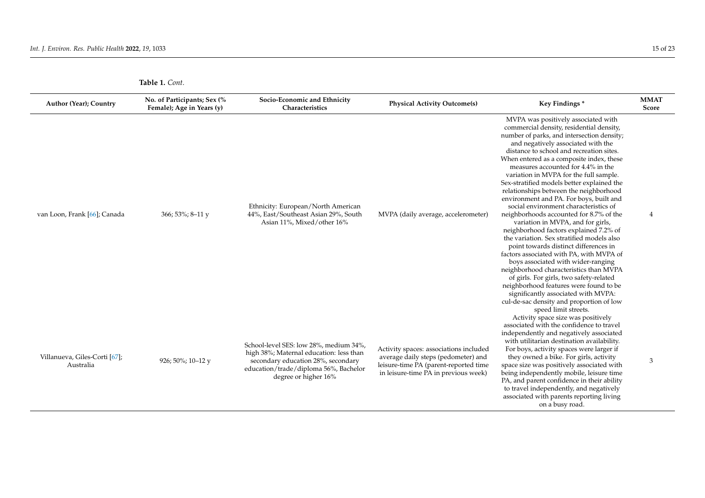| <b>Table 1. Cont.</b> |  |
|-----------------------|--|
|-----------------------|--|

| Author (Year); Country                     | No. of Participants; Sex (%<br>Female); Age in Years (y) | Socio-Economic and Ethnicity<br>Characteristics                                                                                                                                          | <b>Physical Activity Outcome(s)</b>                                                                                                                            | Key Findings*                                                                                                                                                                                                                                                                                                                                                                                                                                                                                                                                                                                                                                                                                                                                                                                                                                                                                                                                                                                                                                                       | <b>MMAT</b><br>Score |
|--------------------------------------------|----------------------------------------------------------|------------------------------------------------------------------------------------------------------------------------------------------------------------------------------------------|----------------------------------------------------------------------------------------------------------------------------------------------------------------|---------------------------------------------------------------------------------------------------------------------------------------------------------------------------------------------------------------------------------------------------------------------------------------------------------------------------------------------------------------------------------------------------------------------------------------------------------------------------------------------------------------------------------------------------------------------------------------------------------------------------------------------------------------------------------------------------------------------------------------------------------------------------------------------------------------------------------------------------------------------------------------------------------------------------------------------------------------------------------------------------------------------------------------------------------------------|----------------------|
| van Loon, Frank [66]; Canada               | 366; 53%; 8-11 y                                         | Ethnicity: European/North American<br>44%, East/Southeast Asian 29%, South<br>Asian 11%, Mixed/other 16%                                                                                 | MVPA (daily average, accelerometer)                                                                                                                            | MVPA was positively associated with<br>commercial density, residential density,<br>number of parks, and intersection density;<br>and negatively associated with the<br>distance to school and recreation sites.<br>When entered as a composite index, these<br>measures accounted for 4.4% in the<br>variation in MVPA for the full sample.<br>Sex-stratified models better explained the<br>relationships between the neighborhood<br>environment and PA. For boys, built and<br>social environment characteristics of<br>neighborhoods accounted for 8.7% of the<br>variation in MVPA, and for girls,<br>neighborhood factors explained 7.2% of<br>the variation. Sex stratified models also<br>point towards distinct differences in<br>factors associated with PA, with MVPA of<br>boys associated with wider-ranging<br>neighborhood characteristics than MVPA<br>of girls. For girls, two safety-related<br>neighborhood features were found to be<br>significantly associated with MVPA:<br>cul-de-sac density and proportion of low<br>speed limit streets. | 4                    |
| Villanueva, Giles-Corti [67];<br>Australia | 926; 50%; 10-12 y                                        | School-level SES: low 28%, medium 34%,<br>high 38%; Maternal education: less than<br>secondary education 28%, secondary<br>education/trade/diploma 56%, Bachelor<br>degree or higher 16% | Activity spaces: associations included<br>average daily steps (pedometer) and<br>leisure-time PA (parent-reported time<br>in leisure-time PA in previous week) | Activity space size was positively<br>associated with the confidence to travel<br>independently and negatively associated<br>with utilitarian destination availability.<br>For boys, activity spaces were larger if<br>they owned a bike. For girls, activity<br>space size was positively associated with<br>being independently mobile, leisure time<br>PA, and parent confidence in their ability<br>to travel independently, and negatively<br>associated with parents reporting living<br>on a busy road.                                                                                                                                                                                                                                                                                                                                                                                                                                                                                                                                                      | 3                    |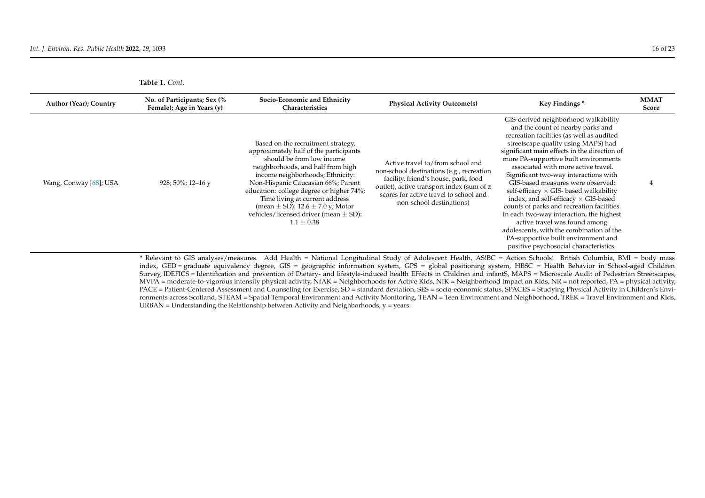|  | Table 1. Cont. |
|--|----------------|
|  |                |

| GIS-derived neighborhood walkability<br>and the count of nearby parks and<br>recreation facilities (as well as audited<br>streetscape quality using MAPS) had<br>Based on the recruitment strategy,<br>significant main effects in the direction of<br>approximately half of the participants<br>should be from low income<br>more PA-supportive built environments<br>Active travel to/from school and<br>neighborhoods, and half from high<br>associated with more active travel.<br>non-school destinations (e.g., recreation<br>income neighborhoods; Ethnicity:<br>Significant two-way interactions with<br>facility, friend's house, park, food<br>Non-Hispanic Caucasian 66%; Parent<br>GIS-based measures were observed:<br>Wang, Conway [68]; USA<br>928; 50%; 12–16 y<br>outlet), active transport index (sum of z<br>education: college degree or higher 74%;<br>self-efficacy $\times$ GIS- based walkability<br>scores for active travel to school and<br>index, and self-efficacy $\times$ GIS-based<br>Time living at current address<br>non-school destinations)<br>counts of parks and recreation facilities.<br>(mean $\pm$ SD): 12.6 $\pm$ 7.0 y; Motor<br>vehicles/licensed driver (mean $\pm$ SD):<br>In each two-way interaction, the highest<br>$1.1 \pm 0.38$<br>active travel was found among<br>adolescents, with the combination of the<br>PA-supportive built environment and<br>positive psychosocial characteristics. | Author (Year); Country | No. of Participants; Sex (%<br>Female); Age in Years (y) | Socio-Economic and Ethnicity<br>Characteristics | <b>Physical Activity Outcome(s)</b> | Key Findings * | <b>MMAT</b><br><b>Score</b> |
|-----------------------------------------------------------------------------------------------------------------------------------------------------------------------------------------------------------------------------------------------------------------------------------------------------------------------------------------------------------------------------------------------------------------------------------------------------------------------------------------------------------------------------------------------------------------------------------------------------------------------------------------------------------------------------------------------------------------------------------------------------------------------------------------------------------------------------------------------------------------------------------------------------------------------------------------------------------------------------------------------------------------------------------------------------------------------------------------------------------------------------------------------------------------------------------------------------------------------------------------------------------------------------------------------------------------------------------------------------------------------------------------------------------------------------------------------------|------------------------|----------------------------------------------------------|-------------------------------------------------|-------------------------------------|----------------|-----------------------------|
|                                                                                                                                                                                                                                                                                                                                                                                                                                                                                                                                                                                                                                                                                                                                                                                                                                                                                                                                                                                                                                                                                                                                                                                                                                                                                                                                                                                                                                                     |                        |                                                          |                                                 |                                     |                |                             |

<span id="page-15-0"></span>Relevant to GIS analyses/measures. Add Health = National Longitudinal Study of Adolescent Health, AS!BC = Action Schools! British Columbia, BMI = body mass index, GED = graduate equivalency degree, GIS = geographic information system, GPS = global positioning system, HBSC = Health Behavior in School-aged Children Survey, IDEFICS = Identification and prevention of Dietary- and lifestyle-induced health EFfects in Children and infantS, MAPS = Microscale Audit of Pedestrian Streetscapes, MVPA = moderate-to-vigorous intensity physical activity, NfAK = Neighborhoods for Active Kids, NIK = Neighborhood Impact on Kids, NR = not reported, PA = physical activity, PACE = Patient-Centered Assessment and Counseling for Exercise, SD = standard deviation, SES = socio-economic status, SPACES = Studying Physical Activity in Children's Environments across Scotland, STEAM = Spatial Temporal Environment and Activity Monitoring, TEAN = Teen Environment and Neighborhood, TREK = Travel Environment and Kids, URBAN = Understanding the Relationship between Activity and Neighborhoods,  $y = years$ .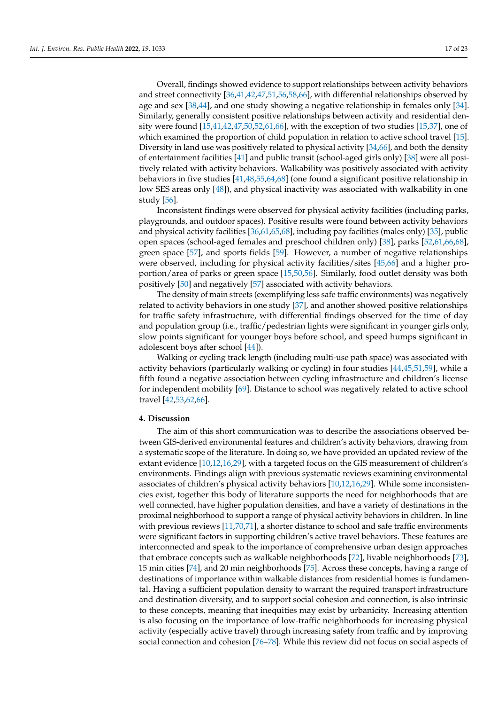Overall, findings showed evidence to support relationships between activity behaviors and street connectivity [\[36](#page-20-23)[,41](#page-20-24)[,42](#page-20-25)[,47,](#page-20-26)[51,](#page-20-27)[56,](#page-21-13)[58](#page-21-14)[,66\]](#page-21-15), with differential relationships observed by age and sex [\[38,](#page-20-28)[44\]](#page-20-29), and one study showing a negative relationship in females only [\[34\]](#page-20-30). Similarly, generally consistent positive relationships between activity and residential density were found [\[15](#page-19-8)[,41](#page-20-24)[,42](#page-20-25)[,47](#page-20-26)[,50](#page-20-31)[,52](#page-20-32)[,61](#page-21-16)[,66\]](#page-21-15), with the exception of two studies [\[15](#page-19-8)[,37\]](#page-20-33), one of which examined the proportion of child population in relation to active school travel [\[15\]](#page-19-8). Diversity in land use was positively related to physical activity  $[34,66]$  $[34,66]$ , and both the density of entertainment facilities [\[41\]](#page-20-24) and public transit (school-aged girls only) [\[38\]](#page-20-28) were all positively related with activity behaviors. Walkability was positively associated with activity behaviors in five studies [\[41](#page-20-24)[,48](#page-20-34)[,55](#page-20-35)[,64](#page-21-17)[,68\]](#page-21-18) (one found a significant positive relationship in low SES areas only [\[48\]](#page-20-34)), and physical inactivity was associated with walkability in one study [\[56\]](#page-21-13).

Inconsistent findings were observed for physical activity facilities (including parks, playgrounds, and outdoor spaces). Positive results were found between activity behaviors and physical activity facilities [\[36](#page-20-23)[,61](#page-21-16)[,65](#page-21-19)[,68\]](#page-21-18), including pay facilities (males only) [\[35\]](#page-20-36), public open spaces (school-aged females and preschool children only) [\[38\]](#page-20-28), parks [\[52,](#page-20-32)[61,](#page-21-16)[66,](#page-21-15)[68\]](#page-21-18), green space [\[57\]](#page-21-20), and sports fields [\[59\]](#page-21-21). However, a number of negative relationships were observed, including for physical activity facilities/sites [\[45](#page-20-37)[,66\]](#page-21-15) and a higher proportion/area of parks or green space [\[15](#page-19-8)[,50](#page-20-31)[,56\]](#page-21-13). Similarly, food outlet density was both positively [\[50\]](#page-20-31) and negatively [\[57\]](#page-21-20) associated with activity behaviors.

The density of main streets (exemplifying less safe traffic environments) was negatively related to activity behaviors in one study [\[37\]](#page-20-33), and another showed positive relationships for traffic safety infrastructure, with differential findings observed for the time of day and population group (i.e., traffic/pedestrian lights were significant in younger girls only, slow points significant for younger boys before school, and speed humps significant in adolescent boys after school [\[44\]](#page-20-29)).

Walking or cycling track length (including multi-use path space) was associated with activity behaviors (particularly walking or cycling) in four studies [\[44,](#page-20-29)[45,](#page-20-37)[51,](#page-20-27)[59\]](#page-21-21), while a fifth found a negative association between cycling infrastructure and children's license for independent mobility [\[69\]](#page-21-22). Distance to school was negatively related to active school travel [\[42,](#page-20-25)[53,](#page-20-38)[62,](#page-21-23)[66\]](#page-21-15).

## **4. Discussion**

The aim of this short communication was to describe the associations observed between GIS-derived environmental features and children's activity behaviors, drawing from a systematic scope of the literature. In doing so, we have provided an updated review of the extant evidence [\[10](#page-19-4)[,12](#page-19-5)[,16](#page-19-9)[,29\]](#page-19-21), with a targeted focus on the GIS measurement of children's environments. Findings align with previous systematic reviews examining environmental associates of children's physical activity behaviors [\[10,](#page-19-4)[12](#page-19-5)[,16](#page-19-9)[,29\]](#page-19-21). While some inconsistencies exist, together this body of literature supports the need for neighborhoods that are well connected, have higher population densities, and have a variety of destinations in the proximal neighborhood to support a range of physical activity behaviors in children. In line with previous reviews [\[11](#page-19-25)[,70,](#page-21-24)[71\]](#page-21-25), a shorter distance to school and safe traffic environments were significant factors in supporting children's active travel behaviors. These features are interconnected and speak to the importance of comprehensive urban design approaches that embrace concepts such as walkable neighborhoods [\[72\]](#page-21-26), livable neighborhoods [\[73\]](#page-21-27), 15 min cities [\[74\]](#page-21-28), and 20 min neighborhoods [\[75\]](#page-21-29). Across these concepts, having a range of destinations of importance within walkable distances from residential homes is fundamental. Having a sufficient population density to warrant the required transport infrastructure and destination diversity, and to support social cohesion and connection, is also intrinsic to these concepts, meaning that inequities may exist by urbanicity. Increasing attention is also focusing on the importance of low-traffic neighborhoods for increasing physical activity (especially active travel) through increasing safety from traffic and by improving social connection and cohesion [\[76](#page-21-30)[–78\]](#page-21-31). While this review did not focus on social aspects of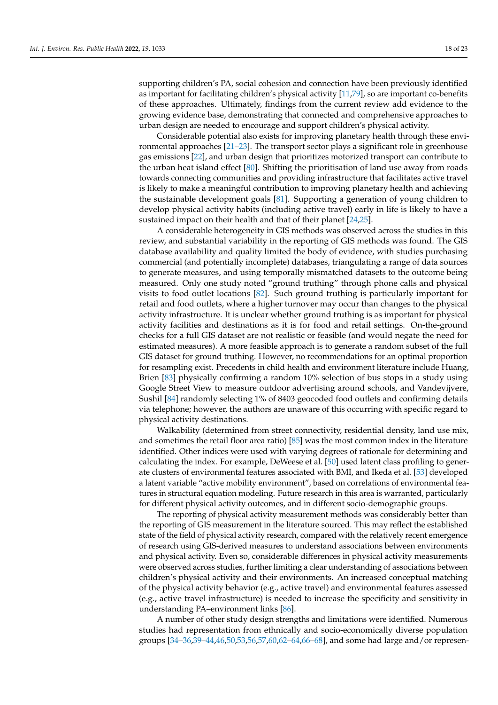supporting children's PA, social cohesion and connection have been previously identified as important for facilitating children's physical activity [\[11,](#page-19-25)[79\]](#page-22-0), so are important co-benefits of these approaches. Ultimately, findings from the current review add evidence to the growing evidence base, demonstrating that connected and comprehensive approaches to urban design are needed to encourage and support children's physical activity.

Considerable potential also exists for improving planetary health through these environmental approaches [\[21–](#page-19-26)[23\]](#page-19-15). The transport sector plays a significant role in greenhouse gas emissions [\[22\]](#page-19-14), and urban design that prioritizes motorized transport can contribute to the urban heat island effect [\[80\]](#page-22-1). Shifting the prioritisation of land use away from roads towards connecting communities and providing infrastructure that facilitates active travel is likely to make a meaningful contribution to improving planetary health and achieving the sustainable development goals [\[81\]](#page-22-2). Supporting a generation of young children to develop physical activity habits (including active travel) early in life is likely to have a sustained impact on their health and that of their planet [\[24](#page-19-16)[,25\]](#page-19-17).

A considerable heterogeneity in GIS methods was observed across the studies in this review, and substantial variability in the reporting of GIS methods was found. The GIS database availability and quality limited the body of evidence, with studies purchasing commercial (and potentially incomplete) databases, triangulating a range of data sources to generate measures, and using temporally mismatched datasets to the outcome being measured. Only one study noted "ground truthing" through phone calls and physical visits to food outlet locations [\[82\]](#page-22-3). Such ground truthing is particularly important for retail and food outlets, where a higher turnover may occur than changes to the physical activity infrastructure. It is unclear whether ground truthing is as important for physical activity facilities and destinations as it is for food and retail settings. On-the-ground checks for a full GIS dataset are not realistic or feasible (and would negate the need for estimated measures). A more feasible approach is to generate a random subset of the full GIS dataset for ground truthing. However, no recommendations for an optimal proportion for resampling exist. Precedents in child health and environment literature include Huang, Brien [\[83\]](#page-22-4) physically confirming a random 10% selection of bus stops in a study using Google Street View to measure outdoor advertising around schools, and Vandevijvere, Sushil [\[84\]](#page-22-5) randomly selecting 1% of 8403 geocoded food outlets and confirming details via telephone; however, the authors are unaware of this occurring with specific regard to physical activity destinations.

Walkability (determined from street connectivity, residential density, land use mix, and sometimes the retail floor area ratio) [\[85\]](#page-22-6) was the most common index in the literature identified. Other indices were used with varying degrees of rationale for determining and calculating the index. For example, DeWeese et al. [\[50\]](#page-20-31) used latent class profiling to generate clusters of environmental features associated with BMI, and Ikeda et al. [\[53\]](#page-20-38) developed a latent variable "active mobility environment", based on correlations of environmental features in structural equation modeling. Future research in this area is warranted, particularly for different physical activity outcomes, and in different socio-demographic groups.

The reporting of physical activity measurement methods was considerably better than the reporting of GIS measurement in the literature sourced. This may reflect the established state of the field of physical activity research, compared with the relatively recent emergence of research using GIS-derived measures to understand associations between environments and physical activity. Even so, considerable differences in physical activity measurements were observed across studies, further limiting a clear understanding of associations between children's physical activity and their environments. An increased conceptual matching of the physical activity behavior (e.g., active travel) and environmental features assessed (e.g., active travel infrastructure) is needed to increase the specificity and sensitivity in understanding PA–environment links [\[86\]](#page-22-7).

A number of other study design strengths and limitations were identified. Numerous studies had representation from ethnically and socio-economically diverse population groups [\[34–](#page-20-30)[36,](#page-20-23)[39](#page-20-39)[–44,](#page-20-29)[46,](#page-20-40)[50,](#page-20-31)[53](#page-20-38)[,56](#page-21-13)[,57](#page-21-20)[,60](#page-21-32)[,62](#page-21-23)[–64](#page-21-17)[,66–](#page-21-15)[68\]](#page-21-18), and some had large and/or represen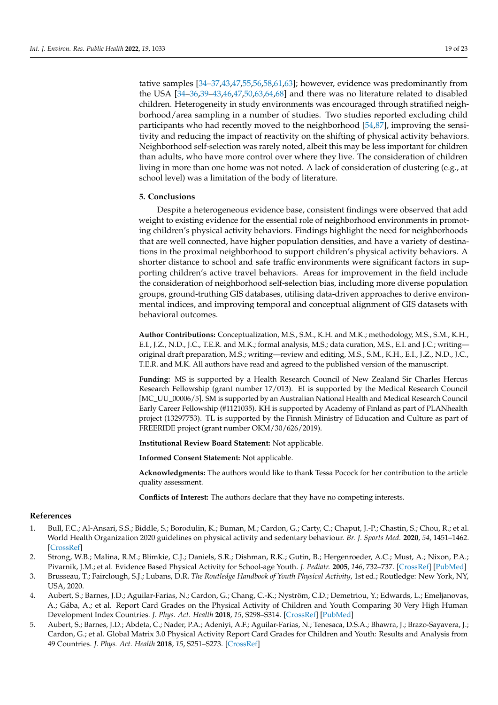tative samples [\[34–](#page-20-30)[37,](#page-20-33)[43,](#page-20-41)[47,](#page-20-26)[55,](#page-20-35)[56,](#page-21-13)[58,](#page-21-14)[61,](#page-21-16)[63\]](#page-21-33); however, evidence was predominantly from the USA [\[34–](#page-20-30)[36](#page-20-23)[,39–](#page-20-39)[43](#page-20-41)[,46,](#page-20-40)[47](#page-20-26)[,50,](#page-20-31)[63](#page-21-33)[,64,](#page-21-17)[68\]](#page-21-18) and there was no literature related to disabled children. Heterogeneity in study environments was encouraged through stratified neighborhood/area sampling in a number of studies. Two studies reported excluding child participants who had recently moved to the neighborhood [\[54](#page-20-42)[,87\]](#page-22-8), improving the sensitivity and reducing the impact of reactivity on the shifting of physical activity behaviors. Neighborhood self-selection was rarely noted, albeit this may be less important for children than adults, who have more control over where they live. The consideration of children living in more than one home was not noted. A lack of consideration of clustering (e.g., at school level) was a limitation of the body of literature.

## **5. Conclusions**

Despite a heterogeneous evidence base, consistent findings were observed that add weight to existing evidence for the essential role of neighborhood environments in promoting children's physical activity behaviors. Findings highlight the need for neighborhoods that are well connected, have higher population densities, and have a variety of destinations in the proximal neighborhood to support children's physical activity behaviors. A shorter distance to school and safe traffic environments were significant factors in supporting children's active travel behaviors. Areas for improvement in the field include the consideration of neighborhood self-selection bias, including more diverse population groups, ground-truthing GIS databases, utilising data-driven approaches to derive environmental indices, and improving temporal and conceptual alignment of GIS datasets with behavioral outcomes.

**Author Contributions:** Conceptualization, M.S., S.M., K.H. and M.K.; methodology, M.S., S.M., K.H., E.I., J.Z., N.D., J.C., T.E.R. and M.K.; formal analysis, M.S.; data curation, M.S., E.I. and J.C.; writing original draft preparation, M.S.; writing—review and editing, M.S., S.M., K.H., E.I., J.Z., N.D., J.C., T.E.R. and M.K. All authors have read and agreed to the published version of the manuscript.

**Funding:** MS is supported by a Health Research Council of New Zealand Sir Charles Hercus Research Fellowship (grant number 17/013). EI is supported by the Medical Research Council [MC\_UU\_00006/5]. SM is supported by an Australian National Health and Medical Research Council Early Career Fellowship (#1121035). KH is supported by Academy of Finland as part of PLANhealth project (13297753). TL is supported by the Finnish Ministry of Education and Culture as part of FREERIDE project (grant number OKM/30/626/2019).

**Institutional Review Board Statement:** Not applicable.

**Informed Consent Statement:** Not applicable.

**Acknowledgments:** The authors would like to thank Tessa Pocock for her contribution to the article quality assessment.

**Conflicts of Interest:** The authors declare that they have no competing interests.

## **References**

- <span id="page-18-0"></span>1. Bull, F.C.; Al-Ansari, S.S.; Biddle, S.; Borodulin, K.; Buman, M.; Cardon, G.; Carty, C.; Chaput, J.-P.; Chastin, S.; Chou, R.; et al. World Health Organization 2020 guidelines on physical activity and sedentary behaviour. *Br. J. Sports Med.* **2020**, *54*, 1451–1462. [\[CrossRef\]](http://doi.org/10.1136/bjsports-2020-102955)
- <span id="page-18-1"></span>2. Strong, W.B.; Malina, R.M.; Blimkie, C.J.; Daniels, S.R.; Dishman, R.K.; Gutin, B.; Hergenroeder, A.C.; Must, A.; Nixon, P.A.; Pivarnik, J.M.; et al. Evidence Based Physical Activity for School-age Youth. *J. Pediatr.* **2005**, *146*, 732–737. [\[CrossRef\]](http://doi.org/10.1016/j.jpeds.2005.01.055) [\[PubMed\]](http://www.ncbi.nlm.nih.gov/pubmed/15973308)
- <span id="page-18-2"></span>3. Brusseau, T.; Fairclough, S.J.; Lubans, D.R. *The Routledge Handbook of Youth Physical Activity*, 1st ed.; Routledge: New York, NY, USA, 2020.
- <span id="page-18-3"></span>4. Aubert, S.; Barnes, J.D.; Aguilar-Farias, N.; Cardon, G.; Chang, C.-K.; Nyström, C.D.; Demetriou, Y.; Edwards, L.; Emeljanovas, A.; Gába, A.; et al. Report Card Grades on the Physical Activity of Children and Youth Comparing 30 Very High Human Development Index Countries. *J. Phys. Act. Health* **2018**, *15*, S298–S314. [\[CrossRef\]](http://doi.org/10.1123/jpah.2018-0431) [\[PubMed\]](http://www.ncbi.nlm.nih.gov/pubmed/30475144)
- <span id="page-18-4"></span>5. Aubert, S.; Barnes, J.D.; Abdeta, C.; Nader, P.A.; Adeniyi, A.F.; Aguilar-Farias, N.; Tenesaca, D.S.A.; Bhawra, J.; Brazo-Sayavera, J.; Cardon, G.; et al. Global Matrix 3.0 Physical Activity Report Card Grades for Children and Youth: Results and Analysis from 49 Countries. *J. Phys. Act. Health* **2018**, *15*, S251–S273. [\[CrossRef\]](http://doi.org/10.1123/jpah.2018-0472)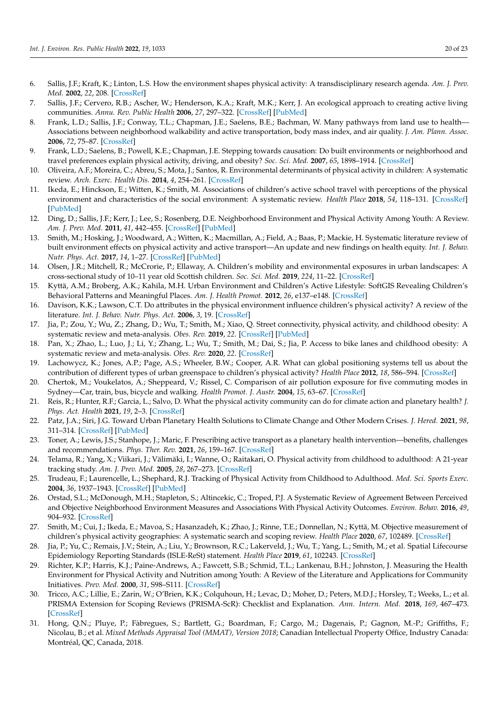- <span id="page-19-24"></span><span id="page-19-0"></span>6. Sallis, J.F.; Kraft, K.; Linton, L.S. How the environment shapes physical activity: A transdisciplinary research agenda. *Am. J. Prev. Med.* **2002**, *22*, 208. [\[CrossRef\]](http://doi.org/10.1016/S0749-3797(01)00435-4)
- <span id="page-19-1"></span>7. Sallis, J.F.; Cervero, R.B.; Ascher, W.; Henderson, K.A.; Kraft, M.K.; Kerr, J. An ecological approach to creating active living communities. *Annu. Rev. Public Health* **2006**, *27*, 297–322. [\[CrossRef\]](http://doi.org/10.1146/annurev.publhealth.27.021405.102100) [\[PubMed\]](http://www.ncbi.nlm.nih.gov/pubmed/16533119)
- <span id="page-19-2"></span>8. Frank, L.D.; Sallis, J.F.; Conway, T.L.; Chapman, J.E.; Saelens, B.E.; Bachman, W. Many pathways from land use to health— Associations between neighborhood walkability and active transportation, body mass index, and air quality. *J. Am. Plann. Assoc.* **2006**, *72*, 75–87. [\[CrossRef\]](http://doi.org/10.1080/01944360608976725)
- <span id="page-19-3"></span>9. Frank, L.D.; Saelens, B.; Powell, K.E.; Chapman, J.E. Stepping towards causation: Do built environments or neighborhood and travel preferences explain physical activity, driving, and obesity? *Soc. Sci. Med.* **2007**, *65*, 1898–1914. [\[CrossRef\]](http://doi.org/10.1016/j.socscimed.2007.05.053)
- <span id="page-19-4"></span>10. Oliveira, A.F.; Moreira, C.; Abreu, S.; Mota, J.; Santos, R. Environmental determinants of physical activity in children: A systematic review. *Arch. Exerc. Health Dis.* **2014**, *4*, 254–261. [\[CrossRef\]](http://doi.org/10.5628/aehd.v4i2.158)
- <span id="page-19-25"></span>11. Ikeda, E.; Hinckson, E.; Witten, K.; Smith, M. Associations of children's active school travel with perceptions of the physical environment and characteristics of the social environment: A systematic review. *Health Place* **2018**, *54*, 118–131. [\[CrossRef\]](http://doi.org/10.1016/j.healthplace.2018.09.009) [\[PubMed\]](http://www.ncbi.nlm.nih.gov/pubmed/30261352)
- <span id="page-19-5"></span>12. Ding, D.; Sallis, J.F.; Kerr, J.; Lee, S.; Rosenberg, D.E. Neighborhood Environment and Physical Activity Among Youth: A Review. *Am. J. Prev. Med.* **2011**, *41*, 442–455. [\[CrossRef\]](http://doi.org/10.1016/j.amepre.2011.06.036) [\[PubMed\]](http://www.ncbi.nlm.nih.gov/pubmed/21961474)
- <span id="page-19-6"></span>13. Smith, M.; Hosking, J.; Woodward, A.; Witten, K.; Macmillan, A.; Field, A.; Baas, P.; Mackie, H. Systematic literature review of built environment effects on physical activity and active transport—An update and new findings on health equity. *Int. J. Behav. Nutr. Phys. Act.* **2017**, *14*, 1–27. [\[CrossRef\]](http://doi.org/10.1186/s12966-017-0613-9) [\[PubMed\]](http://www.ncbi.nlm.nih.gov/pubmed/29145884)
- <span id="page-19-7"></span>14. Olsen, J.R.; Mitchell, R.; McCrorie, P.; Ellaway, A. Children's mobility and environmental exposures in urban landscapes: A cross-sectional study of 10–11 year old Scottish children. *Soc. Sci. Med.* **2019**, *224*, 11–22. [\[CrossRef\]](http://doi.org/10.1016/j.socscimed.2019.01.047)
- <span id="page-19-8"></span>15. Kyttä, A.M.; Broberg, A.K.; Kahila, M.H. Urban Environment and Children's Active Lifestyle: SoftGIS Revealing Children's Behavioral Patterns and Meaningful Places. *Am. J. Health Promot.* **2012**, *26*, e137–e148. [\[CrossRef\]](http://doi.org/10.4278/ajhp.100914-QUAN-310)
- <span id="page-19-9"></span>16. Davison, K.K.; Lawson, C.T. Do attributes in the physical environment influence children's physical activity? A review of the literature. *Int. J. Behav. Nutr. Phys. Act.* **2006**, *3*, 19. [\[CrossRef\]](http://doi.org/10.1186/1479-5868-3-19)
- <span id="page-19-10"></span>17. Jia, P.; Zou, Y.; Wu, Z.; Zhang, D.; Wu, T.; Smith, M.; Xiao, Q. Street connectivity, physical activity, and childhood obesity: A systematic review and meta-analysis. *Obes. Rev.* **2019**, *22*. [\[CrossRef\]](http://doi.org/10.1111/obr.12943) [\[PubMed\]](http://www.ncbi.nlm.nih.gov/pubmed/31507068)
- <span id="page-19-11"></span>18. Pan, X.; Zhao, L.; Luo, J.; Li, Y.; Zhang, L.; Wu, T.; Smith, M.; Dai, S.; Jia, P. Access to bike lanes and childhood obesity: A systematic review and meta-analysis. *Obes. Rev.* **2020**, *22*. [\[CrossRef\]](http://doi.org/10.1111/obr.13042)
- <span id="page-19-12"></span>19. Lachowycz, K.; Jones, A.P.; Page, A.S.; Wheeler, B.W.; Cooper, A.R. What can global positioning systems tell us about the contribution of different types of urban greenspace to children's physical activity? *Health Place* **2012**, *18*, 586–594. [\[CrossRef\]](http://doi.org/10.1016/j.healthplace.2012.01.006)
- <span id="page-19-13"></span>20. Chertok, M.; Voukelatos, A.; Sheppeard, V.; Rissel, C. Comparison of air pollution exposure for five commuting modes in Sydney—Car, train, bus, bicycle and walking. *Health Promot. J. Austr.* **2004**, *15*, 63–67. [\[CrossRef\]](http://doi.org/10.1071/HE04063)
- <span id="page-19-26"></span>21. Reis, R.; Hunter, R.F.; Garcia, L.; Salvo, D. What the physical activity community can do for climate action and planetary health? *J. Phys. Act. Health* **2021**, *19*, 2–3. [\[CrossRef\]](http://doi.org/10.1123/jpah.2021-0719)
- <span id="page-19-14"></span>22. Patz, J.A.; Siri, J.G. Toward Urban Planetary Health Solutions to Climate Change and Other Modern Crises. *J. Hered.* **2021**, *98*, 311–314. [\[CrossRef\]](http://doi.org/10.1007/s11524-021-00540-3) [\[PubMed\]](http://www.ncbi.nlm.nih.gov/pubmed/33988826)
- <span id="page-19-15"></span>23. Toner, A.; Lewis, J.S.; Stanhope, J.; Maric, F. Prescribing active transport as a planetary health intervention—benefits, challenges and recommendations. *Phys. Ther. Rev.* **2021**, *26*, 159–167. [\[CrossRef\]](http://doi.org/10.1080/10833196.2021.1876598)
- <span id="page-19-16"></span>24. Telama, R.; Yang, X.; Viikari, J.; Välimäki, I.; Wanne, O.; Raitakari, O. Physical activity from childhood to adulthood: A 21-year tracking study. *Am. J. Prev. Med.* **2005**, *28*, 267–273. [\[CrossRef\]](http://doi.org/10.1016/j.amepre.2004.12.003)
- <span id="page-19-17"></span>25. Trudeau, F.; Laurencelle, L.; Shephard, R.J. Tracking of Physical Activity from Childhood to Adulthood. *Med. Sci. Sports Exerc.* **2004**, *36*, 1937–1943. [\[CrossRef\]](http://doi.org/10.1249/01.MSS.0000145525.29140.3B) [\[PubMed\]](http://www.ncbi.nlm.nih.gov/pubmed/15514510)
- <span id="page-19-18"></span>26. Orstad, S.L.; McDonough, M.H.; Stapleton, S.; Altincekic, C.; Troped, P.J. A Systematic Review of Agreement Between Perceived and Objective Neighborhood Environment Measures and Associations With Physical Activity Outcomes. *Environ. Behav.* **2016**, *49*, 904–932. [\[CrossRef\]](http://doi.org/10.1177/0013916516670982)
- <span id="page-19-19"></span>27. Smith, M.; Cui, J.; Ikeda, E.; Mavoa, S.; Hasanzadeh, K.; Zhao, J.; Rinne, T.E.; Donnellan, N.; Kyttä, M. Objective measurement of children's physical activity geographies: A systematic search and scoping review. *Health Place* **2020**, *67*, 102489. [\[CrossRef\]](http://doi.org/10.1016/j.healthplace.2020.102489)
- <span id="page-19-20"></span>28. Jia, P.; Yu, C.; Remais, J.V.; Stein, A.; Liu, Y.; Brownson, R.C.; Lakerveld, J.; Wu, T.; Yang, L.; Smith, M.; et al. Spatial Lifecourse Epidemiology Reporting Standards (ISLE-ReSt) statement. *Health Place* **2019**, *61*, 102243. [\[CrossRef\]](http://doi.org/10.1016/j.healthplace.2019.102243)
- <span id="page-19-21"></span>29. Richter, K.P.; Harris, K.J.; Paine-Andrews, A.; Fawcett, S.B.; Schmid, T.L.; Lankenau, B.H.; Johnston, J. Measuring the Health Environment for Physical Activity and Nutrition among Youth: A Review of the Literature and Applications for Community Initiatives. *Prev. Med.* **2000**, *31*, S98–S111. [\[CrossRef\]](http://doi.org/10.1006/pmed.1999.0541)
- <span id="page-19-22"></span>30. Tricco, A.C.; Lillie, E.; Zarin, W.; O'Brien, K.K.; Colquhoun, H.; Levac, D.; Moher, D.; Peters, M.D.J.; Horsley, T.; Weeks, L.; et al. PRISMA Extension for Scoping Reviews (PRISMA-ScR): Checklist and Explanation. *Ann. Intern. Med.* **2018**, *169*, 467–473. [\[CrossRef\]](http://doi.org/10.7326/M18-0850)
- <span id="page-19-23"></span>31. Hong, Q.N.; Pluye, P.; Fàbregues, S.; Bartlett, G.; Boardman, F.; Cargo, M.; Dagenais, P.; Gagnon, M.-P.; Griffiths, F.; Nicolau, B.; et al. *Mixed Methods Appraisal Tool (MMAT), Version 2018*; Canadian Intellectual Property Office, Industry Canada: Montréal, QC, Canada, 2018.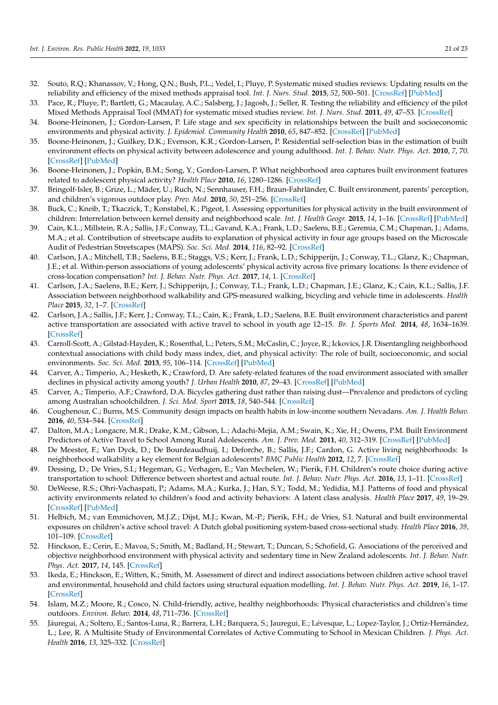- <span id="page-20-8"></span><span id="page-20-7"></span><span id="page-20-6"></span><span id="page-20-5"></span><span id="page-20-4"></span><span id="page-20-3"></span><span id="page-20-2"></span><span id="page-20-1"></span>32. Souto, R.Q.; Khanassov, V.; Hong, Q.N.; Bush, P.L.; Vedel, I.; Pluye, P. Systematic mixed studies reviews: Updating results on the reliability and efficiency of the mixed methods appraisal tool. *Int. J. Nurs. Stud.* **2015**, *52*, 500–501. [\[CrossRef\]](http://doi.org/10.1016/j.ijnurstu.2014.08.010) [\[PubMed\]](http://www.ncbi.nlm.nih.gov/pubmed/25241931)
- <span id="page-20-9"></span><span id="page-20-0"></span>33. Pace, R.; Pluye, P.; Bartlett, G.; Macaulay, A.C.; Salsberg, J.; Jagosh, J.; Seller, R. Testing the reliability and efficiency of the pilot Mixed Methods Appraisal Tool (MMAT) for systematic mixed studies review. *Int. J. Nurs. Stud.* **2011**, *49*, 47–53. [\[CrossRef\]](http://doi.org/10.1016/j.ijnurstu.2011.07.002)
- <span id="page-20-30"></span>34. Boone-Heinonen, J.; Gordon-Larsen, P. Life stage and sex specificity in relationships between the built and socioeconomic environments and physical activity. *J. Epidemiol. Community Health* **2010**, *65*, 847–852. [\[CrossRef\]](http://doi.org/10.1136/jech.2009.105064) [\[PubMed\]](http://www.ncbi.nlm.nih.gov/pubmed/20930092)
- <span id="page-20-36"></span><span id="page-20-10"></span>35. Boone-Heinonen, J.; Guilkey, D.K.; Evenson, K.R.; Gordon-Larsen, P. Residential self-selection bias in the estimation of built environment effects on physical activity between adolescence and young adulthood. *Int. J. Behav. Nutr. Phys. Act.* **2010**, *7*, 70. [\[CrossRef\]](http://doi.org/10.1186/1479-5868-7-70) [\[PubMed\]](http://www.ncbi.nlm.nih.gov/pubmed/20920341)
- <span id="page-20-23"></span><span id="page-20-11"></span>36. Boone-Heinonen, J.; Popkin, B.M.; Song, Y.; Gordon-Larsen, P. What neighborhood area captures built environment features related to adolescent physical activity? *Health Place* **2010**, *16*, 1280–1286. [\[CrossRef\]](http://doi.org/10.1016/j.healthplace.2010.06.015)
- <span id="page-20-33"></span><span id="page-20-12"></span>37. Bringolf-Isler, B.; Grize, L.; Mäder, U.; Ruch, N.; Sennhauser, F.H.; Braun-Fahrländer, C. Built environment, parents' perception, and children's vigorous outdoor play. *Prev. Med.* **2010**, *50*, 251–256. [\[CrossRef\]](http://doi.org/10.1016/j.ypmed.2010.03.008)
- <span id="page-20-28"></span><span id="page-20-13"></span>38. Buck, C.; Kneib, T.; Tkaczick, T.; Konstabel, K.; Pigeot, I. Assessing opportunities for physical activity in the built environment of children: Interrelation between kernel density and neighborhood scale. *Int. J. Health Geogr.* **2015**, *14*, 1–16. [\[CrossRef\]](http://doi.org/10.1186/s12942-015-0027-3) [\[PubMed\]](http://www.ncbi.nlm.nih.gov/pubmed/26694651)
- <span id="page-20-39"></span><span id="page-20-15"></span><span id="page-20-14"></span>39. Cain, K.L.; Millstein, R.A.; Sallis, J.F.; Conway, T.L.; Gavand, K.A.; Frank, L.D.; Saelens, B.E.; Geremia, C.M.; Chapman, J.; Adams, M.A.; et al. Contribution of streetscape audits to explanation of physical activity in four age groups based on the Microscale Audit of Pedestrian Streetscapes (MAPS). *Soc. Sci. Med.* **2014**, *116*, 82–92. [\[CrossRef\]](http://doi.org/10.1016/j.socscimed.2014.06.042)
- <span id="page-20-16"></span>40. Carlson, J.A.; Mitchell, T.B.; Saelens, B.E.; Staggs, V.S.; Kerr, J.; Frank, L.D.; Schipperijn, J.; Conway, T.L.; Glanz, K.; Chapman, J.E.; et al. Within-person associations of young adolescents' physical activity across five primary locations: Is there evidence of cross-location compensation? *Int. J. Behav. Nutr. Phys. Act.* **2017**, *14*, 1. [\[CrossRef\]](http://doi.org/10.1186/s12966-017-0507-x)
- <span id="page-20-24"></span><span id="page-20-17"></span>41. Carlson, J.A.; Saelens, B.E.; Kerr, J.; Schipperijn, J.; Conway, T.L.; Frank, L.D.; Chapman, J.E.; Glanz, K.; Cain, K.L.; Sallis, J.F. Association between neighborhood walkability and GPS-measured walking, bicycling and vehicle time in adolescents. *Health Place* **2015**, *32*, 1–7. [\[CrossRef\]](http://doi.org/10.1016/j.healthplace.2014.12.008)
- <span id="page-20-25"></span><span id="page-20-18"></span>42. Carlson, J.A.; Sallis, J.F.; Kerr, J.; Conway, T.L.; Cain, K.; Frank, L.D.; Saelens, B.E. Built environment characteristics and parent active transportation are associated with active travel to school in youth age 12–15. *Br. J. Sports Med.* **2014**, *48*, 1634–1639. [\[CrossRef\]](http://doi.org/10.1136/bjsports-2013-093101)
- <span id="page-20-41"></span><span id="page-20-19"></span>43. Carroll-Scott, A.; Gilstad-Hayden, K.; Rosenthal, L.; Peters, S.M.; McCaslin, C.; Joyce, R.; Ickovics, J.R. Disentangling neighborhood contextual associations with child body mass index, diet, and physical activity: The role of built, socioeconomic, and social environments. *Soc. Sci. Med.* **2013**, *95*, 106–114. [\[CrossRef\]](http://doi.org/10.1016/j.socscimed.2013.04.003) [\[PubMed\]](http://www.ncbi.nlm.nih.gov/pubmed/23642646)
- <span id="page-20-29"></span><span id="page-20-20"></span>44. Carver, A.; Timperio, A.; Hesketh, K.; Crawford, D. Are safety-related features of the road environment associated with smaller declines in physical activity among youth? *J. Urban Health* **2010**, *87*, 29–43. [\[CrossRef\]](http://doi.org/10.1007/s11524-009-9402-3) [\[PubMed\]](http://www.ncbi.nlm.nih.gov/pubmed/19949995)
- <span id="page-20-37"></span><span id="page-20-21"></span>45. Carver, A.; Timperio, A.F.; Crawford, D.A. Bicycles gathering dust rather than raising dust—Prevalence and predictors of cycling among Australian schoolchildren. *J. Sci. Med. Sport* **2015**, *18*, 540–544. [\[CrossRef\]](http://doi.org/10.1016/j.jsams.2014.07.004)
- <span id="page-20-40"></span><span id="page-20-22"></span>46. Coughenour, C.; Burns, M.S. Community design impacts on health habits in low-income southern Nevadans. *Am. J. Health Behav.* **2016**, *40*, 534–544. [\[CrossRef\]](http://doi.org/10.5993/AJHB.40.4.15)
- <span id="page-20-26"></span>47. Dalton, M.A.; Longacre, M.R.; Drake, K.M.; Gibson, L.; Adachi-Mejia, A.M.; Swain, K.; Xie, H.; Owens, P.M. Built Environment Predictors of Active Travel to School Among Rural Adolescents. *Am. J. Prev. Med.* **2011**, *40*, 312–319. [\[CrossRef\]](http://doi.org/10.1016/j.amepre.2010.11.008) [\[PubMed\]](http://www.ncbi.nlm.nih.gov/pubmed/21335262)
- <span id="page-20-34"></span>48. De Meester, F.; Van Dyck, D.; De Bourdeaudhuij, I.; Deforche, B.; Sallis, J.F.; Cardon, G. Active living neighborhoods: Is neighborhood walkability a key element for Belgian adolescents? *BMC Public Health* **2012**, *12*, 7. [\[CrossRef\]](http://doi.org/10.1186/1471-2458-12-7)
- 49. Dessing, D.; De Vries, S.I.; Hegeman, G.; Verhagen, E.; Van Mechelen, W.; Pierik, F.H. Children's route choice during active transportation to school: Difference between shortest and actual route. *Int. J. Behav. Nutr. Phys. Act.* **2016**, *13*, 1–11. [\[CrossRef\]](http://doi.org/10.1186/s12966-016-0373-y)
- <span id="page-20-31"></span>50. DeWeese, R.S.; Ohri-Vachaspati, P.; Adams, M.A.; Kurka, J.; Han, S.Y.; Todd, M.; Yedidia, M.J. Patterns of food and physical activity environments related to children's food and activity behaviors: A latent class analysis. *Health Place* **2017**, *49*, 19–29. [\[CrossRef\]](http://doi.org/10.1016/j.healthplace.2017.11.002) [\[PubMed\]](http://www.ncbi.nlm.nih.gov/pubmed/29156415)
- <span id="page-20-27"></span>51. Helbich, M.; van Emmichoven, M.J.Z.; Dijst, M.J.; Kwan, M.-P.; Pierik, F.H.; de Vries, S.I. Natural and built environmental exposures on children's active school travel: A Dutch global positioning system-based cross-sectional study. *Health Place* **2016**, *39*, 101–109. [\[CrossRef\]](http://doi.org/10.1016/j.healthplace.2016.03.003)
- <span id="page-20-32"></span>52. Hinckson, E.; Cerin, E.; Mavoa, S.; Smith, M.; Badland, H.; Stewart, T.; Duncan, S.; Schofield, G. Associations of the perceived and objective neighborhood environment with physical activity and sedentary time in New Zealand adolescents. *Int. J. Behav. Nutr. Phys. Act.* **2017**, *14*, 145. [\[CrossRef\]](http://doi.org/10.1186/s12966-017-0597-5)
- <span id="page-20-38"></span>53. Ikeda, E.; Hinckson, E.; Witten, K.; Smith, M. Assessment of direct and indirect associations between children active school travel and environmental, household and child factors using structural equation modelling. *Int. J. Behav. Nutr. Phys. Act.* **2019**, *16*, 1–17. [\[CrossRef\]](http://doi.org/10.1186/s12966-019-0794-5)
- <span id="page-20-42"></span>54. Islam, M.Z.; Moore, R.; Cosco, N. Child-friendly, active, healthy neighborhoods: Physical characteristics and children's time outdoors. *Environ. Behav.* **2014**, *48*, 711–736. [\[CrossRef\]](http://doi.org/10.1177/0013916514554694)
- <span id="page-20-35"></span>55. Jáuregui, A.; Soltero, E.; Santos-Luna, R.; Barrera, L.H.; Barquera, S.; Jauregui, E.; Lévesque, L.; Lopez-Taylor, J.; Ortiz-Hernández, L.; Lee, R. A Multisite Study of Environmental Correlates of Active Commuting to School in Mexican Children. *J. Phys. Act. Health* **2016**, *13*, 325–332. [\[CrossRef\]](http://doi.org/10.1123/jpah.2014-0483)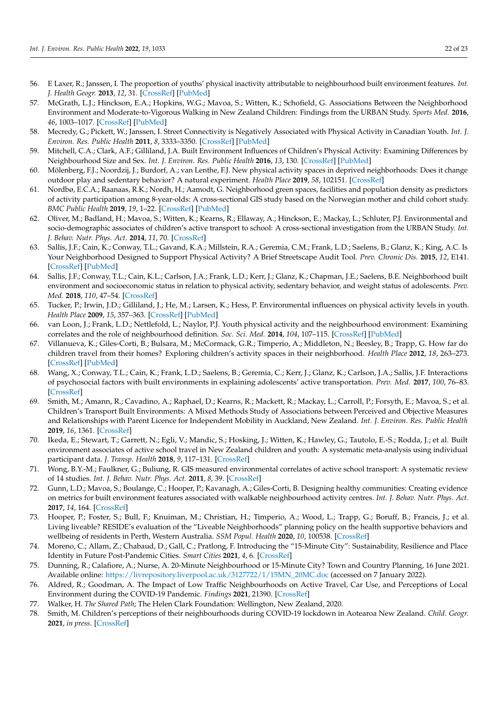- <span id="page-21-13"></span><span id="page-21-8"></span><span id="page-21-7"></span><span id="page-21-6"></span><span id="page-21-5"></span><span id="page-21-4"></span><span id="page-21-3"></span><span id="page-21-2"></span><span id="page-21-1"></span><span id="page-21-0"></span>56. E Laxer, R.; Janssen, I. The proportion of youths' physical inactivity attributable to neighbourhood built environment features. *Int. J. Health Geogr.* **2013**, *12*, 31. [\[CrossRef\]](http://doi.org/10.1186/1476-072X-12-31) [\[PubMed\]](http://www.ncbi.nlm.nih.gov/pubmed/23777593)
- <span id="page-21-20"></span><span id="page-21-10"></span><span id="page-21-9"></span>57. McGrath, L.J.; Hinckson, E.A.; Hopkins, W.G.; Mavoa, S.; Witten, K.; Schofield, G. Associations Between the Neighborhood Environment and Moderate-to-Vigorous Walking in New Zealand Children: Findings from the URBAN Study. *Sports Med.* **2016**, *46*, 1003–1017. [\[CrossRef\]](http://doi.org/10.1007/s40279-016-0533-x) [\[PubMed\]](http://www.ncbi.nlm.nih.gov/pubmed/27091360)
- <span id="page-21-14"></span><span id="page-21-11"></span>58. Mecredy, G.; Pickett, W.; Janssen, I. Street Connectivity is Negatively Associated with Physical Activity in Canadian Youth. *Int. J. Environ. Res. Public Health* **2011**, *8*, 3333–3350. [\[CrossRef\]](http://doi.org/10.3390/ijerph8083333) [\[PubMed\]](http://www.ncbi.nlm.nih.gov/pubmed/21909310)
- <span id="page-21-21"></span>59. Mitchell, C.A.; Clark, A.F.; Gilliland, J.A. Built Environment Influences of Children's Physical Activity: Examining Differences by Neighbourhood Size and Sex. *Int. J. Environ. Res. Public Health* **2016**, *13*, 130. [\[CrossRef\]](http://doi.org/10.3390/ijerph13010130) [\[PubMed\]](http://www.ncbi.nlm.nih.gov/pubmed/26784212)
- <span id="page-21-32"></span><span id="page-21-12"></span>60. Mölenberg, F.J.; Noordzij, J.; Burdorf, A.; van Lenthe, F.J. New physical activity spaces in deprived neighborhoods: Does it change outdoor play and sedentary behavior? A natural experiment. *Health Place* **2019**, *58*, 102151. [\[CrossRef\]](http://doi.org/10.1016/j.healthplace.2019.102151)
- <span id="page-21-16"></span>61. Nordbø, E.C.A.; Raanaas, R.K.; Nordh, H.; Aamodt, G. Neighborhood green spaces, facilities and population density as predictors of activity participation among 8-year-olds: A cross-sectional GIS study based on the Norwegian mother and child cohort study. *BMC Public Health* **2019**, *19*, 1–22. [\[CrossRef\]](http://doi.org/10.1186/s12889-019-7795-9) [\[PubMed\]](http://www.ncbi.nlm.nih.gov/pubmed/31666049)
- <span id="page-21-23"></span>62. Oliver, M.; Badland, H.; Mavoa, S.; Witten, K.; Kearns, R.; Ellaway, A.; Hinckson, E.; Mackay, L.; Schluter, P.J. Environmental and socio-demographic associates of children's active transport to school: A cross-sectional investigation from the URBAN Study. *Int. J. Behav. Nutr. Phys. Act.* **2014**, *11*, 70. [\[CrossRef\]](http://doi.org/10.1186/1479-5868-11-70)
- <span id="page-21-33"></span>63. Sallis, J.F.; Cain, K.; Conway, T.L.; Gavand, K.A.; Millstein, R.A.; Geremia, C.M.; Frank, L.D.; Saelens, B.; Glanz, K.; King, A.C. Is Your Neighborhood Designed to Support Physical Activity? A Brief Streetscape Audit Tool. *Prev. Chronic Dis.* **2015**, *12*, E141. [\[CrossRef\]](http://doi.org/10.5888/pcd12.150098) [\[PubMed\]](http://www.ncbi.nlm.nih.gov/pubmed/26334713)
- <span id="page-21-17"></span>64. Sallis, J.F.; Conway, T.L.; Cain, K.L.; Carlson, J.A.; Frank, L.D.; Kerr, J.; Glanz, K.; Chapman, J.E.; Saelens, B.E. Neighborhood built environment and socioeconomic status in relation to physical activity, sedentary behavior, and weight status of adolescents. *Prev. Med.* **2018**, *110*, 47–54. [\[CrossRef\]](http://doi.org/10.1016/j.ypmed.2018.02.009)
- <span id="page-21-19"></span>65. Tucker, P.; Irwin, J.D.; Gilliland, J.; He, M.; Larsen, K.; Hess, P. Environmental influences on physical activity levels in youth. *Health Place* **2009**, *15*, 357–363. [\[CrossRef\]](http://doi.org/10.1016/j.healthplace.2008.07.001) [\[PubMed\]](http://www.ncbi.nlm.nih.gov/pubmed/18706850)
- <span id="page-21-15"></span>66. van Loon, J.; Frank, L.D.; Nettlefold, L.; Naylor, P.J. Youth physical activity and the neighbourhood environment: Examining correlates and the role of neighbourhood definition. *Soc. Sci. Med.* **2014**, *104*, 107–115. [\[CrossRef\]](http://doi.org/10.1016/j.socscimed.2013.12.013) [\[PubMed\]](http://www.ncbi.nlm.nih.gov/pubmed/24581068)
- 67. Villanueva, K.; Giles-Corti, B.; Bulsara, M.; McCormack, G.R.; Timperio, A.; Middleton, N.; Beesley, B.; Trapp, G. How far do children travel from their homes? Exploring children's activity spaces in their neighborhood. *Health Place* **2012**, *18*, 263–273. [\[CrossRef\]](http://doi.org/10.1016/j.healthplace.2011.09.019) [\[PubMed\]](http://www.ncbi.nlm.nih.gov/pubmed/22001753)
- <span id="page-21-18"></span>68. Wang, X.; Conway, T.L.; Cain, K.; Frank, L.D.; Saelens, B.; Geremia, C.; Kerr, J.; Glanz, K.; Carlson, J.A.; Sallis, J.F. Interactions of psychosocial factors with built environments in explaining adolescents' active transportation. *Prev. Med.* **2017**, *100*, 76–83. [\[CrossRef\]](http://doi.org/10.1016/j.ypmed.2017.04.008)
- <span id="page-21-22"></span>69. Smith, M.; Amann, R.; Cavadino, A.; Raphael, D.; Kearns, R.; Mackett, R.; Mackay, L.; Carroll, P.; Forsyth, E.; Mavoa, S.; et al. Children's Transport Built Environments: A Mixed Methods Study of Associations between Perceived and Objective Measures and Relationships with Parent Licence for Independent Mobility in Auckland, New Zealand. *Int. J. Environ. Res. Public Health* **2019**, *16*, 1361. [\[CrossRef\]](http://doi.org/10.3390/ijerph16081361)
- <span id="page-21-24"></span>70. Ikeda, E.; Stewart, T.; Garrett, N.; Egli, V.; Mandic, S.; Hosking, J.; Witten, K.; Hawley, G.; Tautolo, E.-S.; Rodda, J.; et al. Built environment associates of active school travel in New Zealand children and youth: A systematic meta-analysis using individual participant data. *J. Transp. Health* **2018**, *9*, 117–131. [\[CrossRef\]](http://doi.org/10.1016/j.jth.2018.04.007)
- <span id="page-21-25"></span>71. Wong, B.Y.-M.; Faulkner, G.; Buliung, R. GIS measured environmental correlates of active school transport: A systematic review of 14 studies. *Int. J. Behav. Nutr. Phys. Act.* **2011**, *8*, 39. [\[CrossRef\]](http://doi.org/10.1186/1479-5868-8-39)
- <span id="page-21-26"></span>72. Gunn, L.D.; Mavoa, S.; Boulange, C.; Hooper, P.; Kavanagh, A.; Giles-Corti, B. Designing healthy communities: Creating evidence on metrics for built environment features associated with walkable neighbourhood activity centres. *Int. J. Behav. Nutr. Phys. Act.* **2017**, *14*, 164. [\[CrossRef\]](http://doi.org/10.1186/s12966-017-0621-9)
- <span id="page-21-27"></span>73. Hooper, P.; Foster, S.; Bull, F.; Knuiman, M.; Christian, H.; Timperio, A.; Wood, L.; Trapp, G.; Boruff, B.; Francis, J.; et al. Living liveable? RESIDE's evaluation of the "Liveable Neighborhoods" planning policy on the health supportive behaviors and wellbeing of residents in Perth, Western Australia. *SSM Popul. Health* **2020**, *10*, 100538. [\[CrossRef\]](http://doi.org/10.1016/j.ssmph.2020.100538)
- <span id="page-21-28"></span>74. Moreno, C.; Allam, Z.; Chabaud, D.; Gall, C.; Pratlong, F. Introducing the "15-Minute City": Sustainability, Resilience and Place Identity in Future Post-Pandemic Cities. *Smart Cities* **2021**, *4*, 6. [\[CrossRef\]](http://doi.org/10.3390/smartcities4010006)
- <span id="page-21-29"></span>75. Dunning, R.; Calafiore, A.; Nurse, A. 20-Minute Neighbourhood or 15-Minute City? Town and Country Planning, 16 June 2021. Available online: [https://livrepository.liverpool.ac.uk/3127722/1/15MN\\_20MC.doc](https://livrepository.liverpool.ac.uk/3127722/1/15MN_20MC.doc) (accessed on 7 January 2022).
- <span id="page-21-30"></span>76. Aldred, R.; Goodman, A. The Impact of Low Traffic Neighbourhoods on Active Travel, Car Use, and Perceptions of Local Environment during the COVID-19 Pandemic. *Findings* **2021**, 21390. [\[CrossRef\]](http://doi.org/10.32866/001c.21390)
- 77. Walker, H. *The Shared Path*; The Helen Clark Foundation: Wellington, New Zealand, 2020.
- <span id="page-21-31"></span>78. Smith, M. Children's perceptions of their neighbourhoods during COVID-19 lockdown in Aotearoa New Zealand. *Child. Geogr.* **2021**, *in press*. [\[CrossRef\]](http://doi.org/10.1080/14733285.2022.2026887)